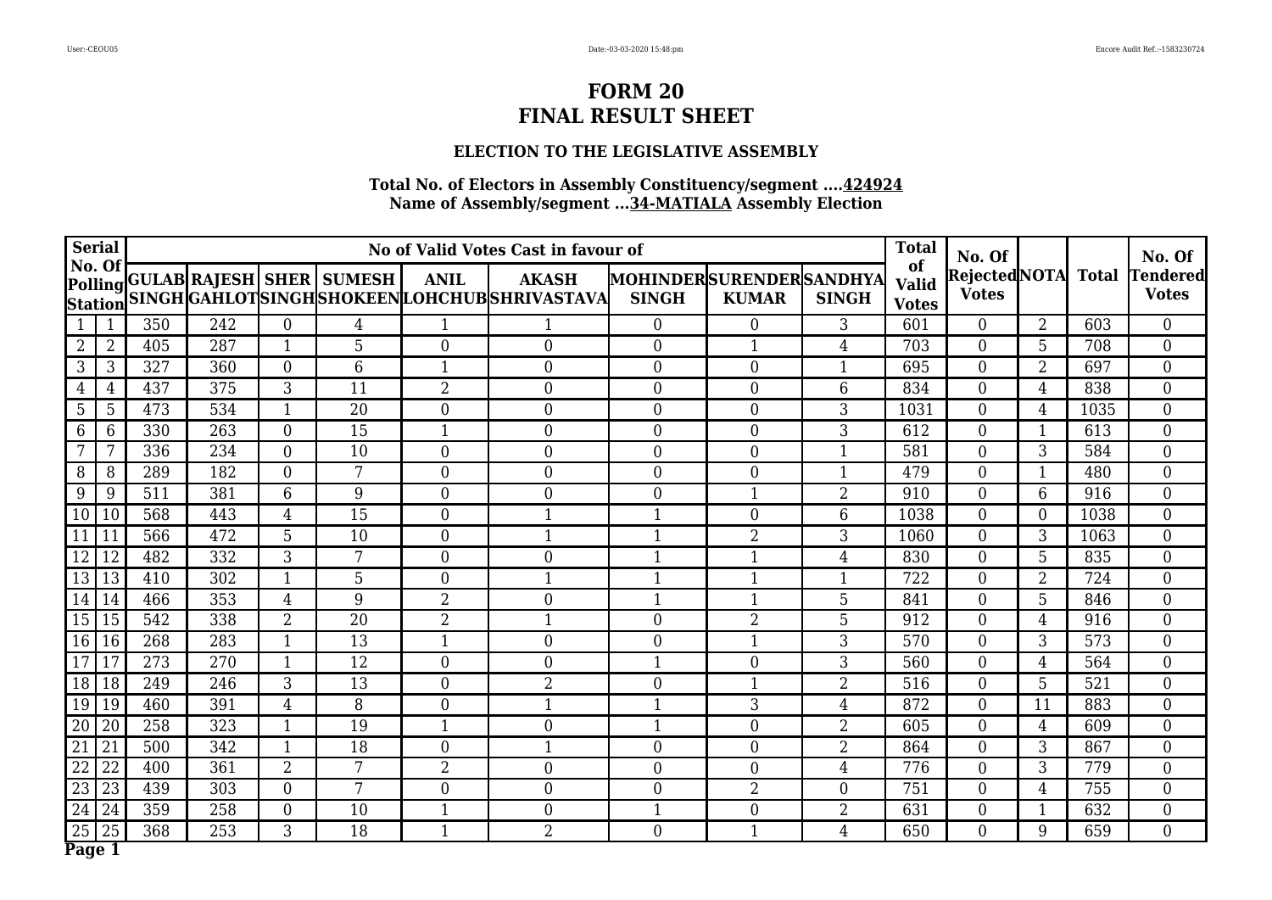## **ELECTION TO THE LEGISLATIVE ASSEMBLY**

| <b>Serial</b>            |                 |     |     |                  |                                  |                  | No of Valid Votes Cast in favour of                           |                                         |                  |                | <b>Total</b>                       | No. Of                             |                |                  | No. Of                          |
|--------------------------|-----------------|-----|-----|------------------|----------------------------------|------------------|---------------------------------------------------------------|-----------------------------------------|------------------|----------------|------------------------------------|------------------------------------|----------------|------------------|---------------------------------|
| No. Of<br><b>Station</b> |                 |     |     |                  | Polling GULAB RAJESH SHER SUMESH | <b>ANIL</b>      | <b>AKASH</b><br>SINGH GAHLOTSINGH SHOKEEN LOHCHUB SHRIVASTAVA | MOHINDERSURENDERSANDHYA<br><b>SINGH</b> | <b>KUMAR</b>     | <b>SINGH</b>   | of<br><b>Valid</b><br><b>Votes</b> | RejectedNOTA Total<br><b>Votes</b> |                |                  | <b>Tendered</b><br><b>Votes</b> |
|                          | 1               | 350 | 242 | $\mathbf{0}$     | $\overline{4}$                   | $\mathbf{1}$     |                                                               | $\Omega$                                | $\boldsymbol{0}$ | 3              | 601                                | $\overline{0}$                     | $\overline{2}$ | 603              | $\overline{0}$                  |
| $\overline{2}$           | $\overline{2}$  | 405 | 287 | $\mathbf{1}$     | 5                                | $\theta$         | $\overline{0}$                                                | $\Omega$                                | $\mathbf{1}$     | $\overline{4}$ | 703                                | $\overline{0}$                     | 5              | 708              | $\overline{0}$                  |
| 3                        | 3               | 327 | 360 | $\theta$         | 6                                | $\mathbf{1}$     | $\boldsymbol{0}$                                              | $\overline{0}$                          | $\overline{0}$   | $\mathbf{1}$   | 695                                | $\boldsymbol{0}$                   | $\overline{2}$ | 697              | $\overline{0}$                  |
| $\overline{4}$           | 4               | 437 | 375 | 3                | 11                               | $\overline{2}$   | $\mathbf{0}$                                                  | $\theta$                                | $\overline{0}$   | 6              | 834                                | $\overline{0}$                     | $\overline{4}$ | 838              | $\overline{0}$                  |
| 5                        | 5               | 473 | 534 | $\mathbf{1}$     | 20                               | $\overline{0}$   | $\mathbf{0}$                                                  | $\overline{0}$                          | $\overline{0}$   | 3              | 1031                               | $\overline{0}$                     | $\overline{4}$ | 1035             | $\overline{0}$                  |
| 6                        | 6               | 330 | 263 | $\overline{0}$   | 15                               | $\mathbf{1}$     | $\mathbf{0}$                                                  | $\overline{0}$                          | $\overline{0}$   | 3              | 612                                | $\overline{0}$                     | $\mathbf{1}$   | 613              | $\boldsymbol{0}$                |
|                          | 7               | 336 | 234 | $\overline{0}$   | 10                               | $\overline{0}$   | $\mathbf{0}$                                                  | $\overline{0}$                          | $\boldsymbol{0}$ | $\mathbf{1}$   | 581                                | $\boldsymbol{0}$                   | 3              | 584              | $\overline{0}$                  |
| 8                        | 8               | 289 | 182 | $\overline{0}$   | 7                                | $\overline{0}$   | $\mathbf{0}$                                                  | $\overline{0}$                          | $\overline{0}$   | $\mathbf{1}$   | 479                                | $\overline{0}$                     | $\mathbf{1}$   | 480              | $\boldsymbol{0}$                |
| 9                        | 9               | 511 | 381 | $6\phantom{1}6$  | 9                                | $\theta$         | $\overline{0}$                                                | $\overline{0}$                          | $\mathbf{1}$     | $\overline{2}$ | 910                                | $\overline{0}$                     | 6              | 916              | $\boldsymbol{0}$                |
| 10                       | 10              | 568 | 443 | $\overline{4}$   | $\overline{15}$                  | $\overline{0}$   | $\mathbf{1}$                                                  | $\mathbf{1}$                            | $\overline{0}$   | 6              | 1038                               | $\overline{0}$                     | $\overline{0}$ | 1038             | $\overline{0}$                  |
| 11                       | 11              | 566 | 472 | 5                | 10                               | $\overline{0}$   | $\mathbf{1}$                                                  | $\mathbf{1}$                            | $\overline{2}$   | 3              | 1060                               | $\overline{0}$                     | 3              | 1063             | $\overline{0}$                  |
| 12                       | 12              | 482 | 332 | $\overline{3}$   | $\overline{7}$                   | $\theta$         | $\overline{0}$                                                | $\mathbf{1}$                            | $\mathbf 1$      | $\overline{4}$ | 830                                | $\overline{0}$                     | $\overline{5}$ | 835              | $\overline{0}$                  |
| 13                       | 13              | 410 | 302 | $\mathbf{1}$     | 5                                | $\theta$         | $\mathbf 1$                                                   | $\mathbf{1}$                            | 1                |                | 722                                | $\overline{0}$                     | $\overline{2}$ | 724              | $\overline{0}$                  |
| 14                       | 14              | 466 | 353 | $\overline{4}$   | 9                                | $\overline{2}$   | $\mathbf{0}$                                                  | $\mathbf{1}$                            | 1                | 5              | 841                                | $\overline{0}$                     | 5              | 846              | $\overline{0}$                  |
| 15                       | 15              | 542 | 338 | $\overline{2}$   | 20                               | $\overline{2}$   | $\mathbf{1}$                                                  | $\overline{0}$                          | $\overline{2}$   | 5              | 912                                | $\boldsymbol{0}$                   | $\overline{4}$ | 916              | $\overline{0}$                  |
| 16                       | $\overline{16}$ | 268 | 283 | $\mathbf 1$      | $\overline{13}$                  | $\mathbf{1}$     | $\mathbf{0}$                                                  | $\theta$                                |                  | 3              | 570                                | $\overline{0}$                     | $\overline{3}$ | $\overline{573}$ | $\overline{0}$                  |
| 17                       | 17              | 273 | 270 | $\mathbf{1}$     | 12                               | $\overline{0}$   | $\overline{0}$                                                | 1                                       | $\overline{0}$   | 3              | 560                                | $\overline{0}$                     | $\overline{4}$ | 564              | $\overline{0}$                  |
| 18                       | 18              | 249 | 246 | 3                | 13                               | $\boldsymbol{0}$ | $\overline{2}$                                                | $\boldsymbol{0}$                        | 1                | $\overline{2}$ | 516                                | $\boldsymbol{0}$                   | 5              | 521              | $\overline{0}$                  |
| 19                       | 19              | 460 | 391 | $\overline{4}$   | 8                                | $\overline{0}$   | $\mathbf{1}$                                                  | 1                                       | 3                | $\overline{4}$ | 872                                | $\overline{0}$                     | 11             | 883              | $\overline{0}$                  |
| 20                       | 20              | 258 | 323 | $\mathbf{1}$     | 19                               | $\mathbf{1}$     | $\mathbf{0}$                                                  | $\mathbf{1}$                            | $\overline{0}$   | 2              | 605                                | $\overline{0}$                     | $\overline{4}$ | 609              | $\overline{0}$                  |
| 21                       | 21              | 500 | 342 | $\mathbf{1}$     | 18                               | $\overline{0}$   | $\mathbf{1}$                                                  | $\overline{0}$                          | $\boldsymbol{0}$ | 2              | 864                                | $\overline{0}$                     | 3              | 867              | $\overline{0}$                  |
| 22                       | 22              | 400 | 361 | $\overline{2}$   | 7                                | $\overline{2}$   | $\boldsymbol{0}$                                              | $\overline{0}$                          | $\boldsymbol{0}$ | $\overline{4}$ | 776                                | $\boldsymbol{0}$                   | $\overline{3}$ | 779              | $\boldsymbol{0}$                |
| 23                       | 23              | 439 | 303 | $\overline{0}$   | 7                                | $\overline{0}$   | $\mathbf{0}$                                                  | $\overline{0}$                          | 2                | $\overline{0}$ | 751                                | $\overline{0}$                     | $\overline{4}$ | 755              | $\overline{0}$                  |
| 24                       | 24              | 359 | 258 | $\boldsymbol{0}$ | 10                               | $\mathbf{1}$     | $\boldsymbol{0}$                                              | $\mathbf{1}$                            | $\boldsymbol{0}$ | 2              | 631                                | $\boldsymbol{0}$                   | $\mathbf{1}$   | 632              | $\overline{0}$                  |
| 25                       | 25              | 368 | 253 | 3                | 18                               | $\mathbf{1}$     | $\overline{2}$                                                | $\overline{0}$                          | $\mathbf{1}$     | $\overline{4}$ | 650                                | $\overline{0}$                     | 9              | 659              | $\overline{0}$                  |
| Page 1                   |                 |     |     |                  |                                  |                  |                                                               |                                         |                  |                |                                    |                                    |                |                  |                                 |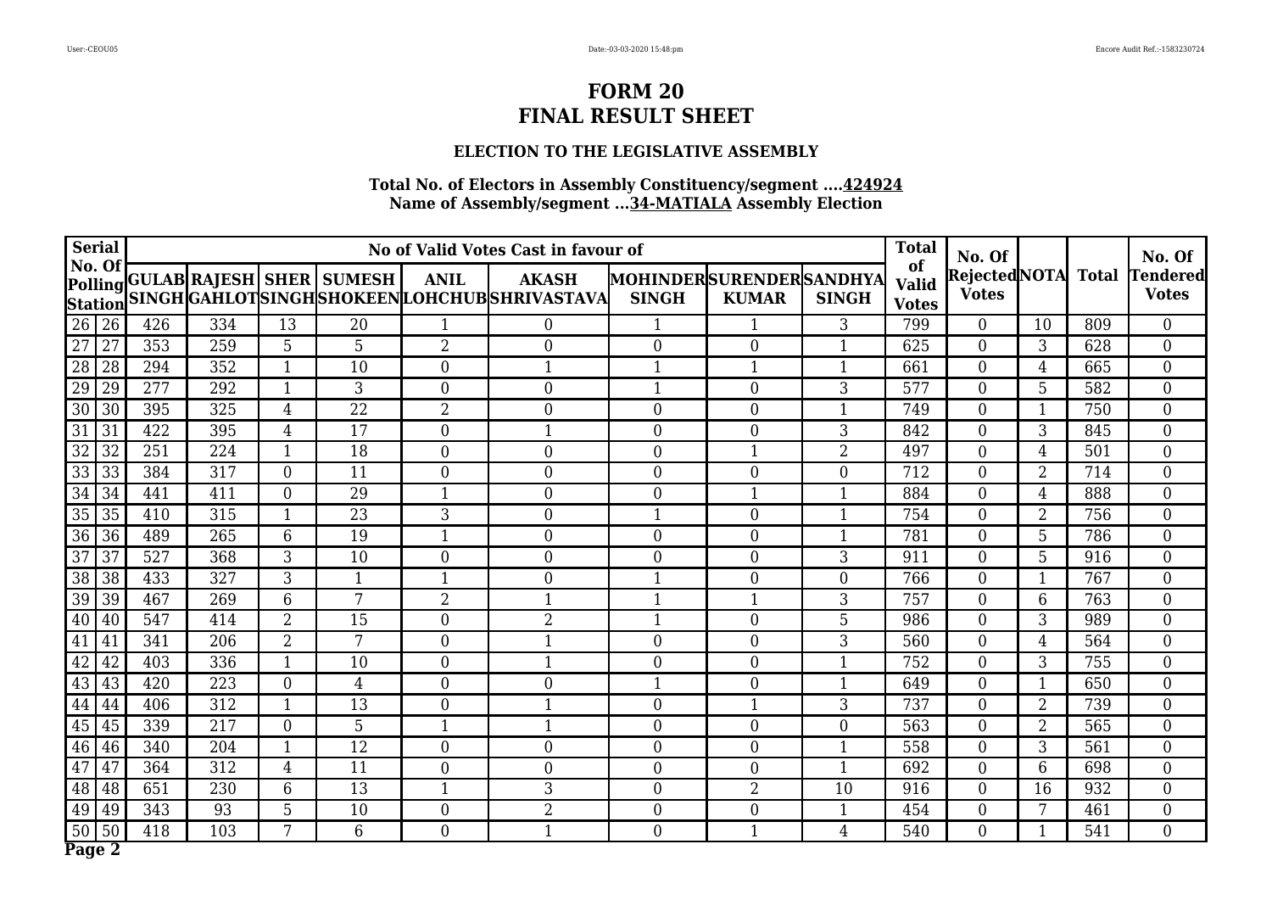## **ELECTION TO THE LEGISLATIVE ASSEMBLY**

| <b>Serial</b>                      |                  |                  |                |                                  |                  | No of Valid Votes Cast in favour of                            |                                         |                  |                | <b>Total</b>                       | No. Of                             |                |     | No. Of                          |
|------------------------------------|------------------|------------------|----------------|----------------------------------|------------------|----------------------------------------------------------------|-----------------------------------------|------------------|----------------|------------------------------------|------------------------------------|----------------|-----|---------------------------------|
| No. Of<br><b>Station</b>           |                  |                  |                | Polling GULAB RAJESH SHER SUMESH | <b>ANIL</b>      | <b>AKASH</b><br>SINGH GAHLOT SINGH SHOKEEN LOHCHUB SHRIVASTAVA | MOHINDERSURENDERSANDHYA<br><b>SINGH</b> | <b>KUMAR</b>     | <b>SINGH</b>   | of<br><b>Valid</b><br><b>Votes</b> | RejectedNOTA Total<br><b>Votes</b> |                |     | <b>Tendered</b><br><b>Votes</b> |
| 26<br>26                           | 426              | 334              | 13             | 20                               | $\mathbf{1}$     | $\overline{0}$                                                 | $\mathbf{1}$                            |                  | 3              | 799                                | $\overline{0}$                     | 10             | 809 | $\overline{0}$                  |
| $\overline{27}$<br>$\overline{27}$ | 353              | 259              | 5              | 5                                | $\overline{2}$   | $\mathbf{0}$                                                   | $\theta$                                | $\overline{0}$   | 1              | 625                                | $\overline{0}$                     | 3              | 628 | $\overline{0}$                  |
| 28<br>28                           | 294              | 352              | $\mathbf{1}$   | 10                               | $\overline{0}$   | $\mathbf{1}$                                                   | $\mathbf{1}$                            | 1                | $\mathbf 1$    | 661                                | $\boldsymbol{0}$                   | 4              | 665 | $\overline{0}$                  |
| 29<br>29                           | 277              | 292              | $\mathbf{1}$   | 3                                | $\overline{0}$   | $\mathbf{0}$                                                   | $\mathbf{1}$                            | $\overline{0}$   | 3              | 577                                | $\overline{0}$                     | 5              | 582 | $\overline{0}$                  |
| 30<br>30                           | 395              | 325              | $\overline{4}$ | 22                               | $\overline{2}$   | $\mathbf{0}$                                                   | $\overline{0}$                          | $\overline{0}$   |                | 749                                | $\overline{0}$                     |                | 750 | $\overline{0}$                  |
| $\overline{31}$<br>31              | 422              | 395              | $\overline{4}$ | $\overline{17}$                  | $\overline{0}$   | $\mathbf{1}$                                                   | $\overline{0}$                          | $\boldsymbol{0}$ | 3              | 842                                | $\overline{0}$                     | 3              | 845 | $\boldsymbol{0}$                |
| 32<br>32                           | 251              | 224              | $\mathbf{1}$   | 18                               | $\overline{0}$   | $\mathbf{0}$                                                   | $\overline{0}$                          | $\mathbf{1}$     | $\overline{2}$ | 497                                | $\boldsymbol{0}$                   | $\overline{4}$ | 501 | $\overline{0}$                  |
| $\overline{33}$<br>33              | 384              | 317              | $\overline{0}$ | 11                               | $\overline{0}$   | $\overline{0}$                                                 | $\overline{0}$                          | $\overline{0}$   | $\theta$       | 712                                | $\overline{0}$                     | $\overline{2}$ | 714 | $\boldsymbol{0}$                |
| 34<br>34                           | 441              | 411              | $\overline{0}$ | 29                               |                  | $\overline{0}$                                                 | $\overline{0}$                          | 1                |                | 884                                | $\overline{0}$                     | $\overline{4}$ | 888 | $\boldsymbol{0}$                |
| 35<br>$\overline{35}$              | 410              | 315              | $\mathbf{1}$   | $\overline{23}$                  | $\overline{3}$   | $\overline{0}$                                                 | $\mathbf{1}$                            | $\overline{0}$   |                | 754                                | $\overline{0}$                     | $\overline{2}$ | 756 | $\overline{0}$                  |
| 36<br>36                           | 489              | 265              | 6              | 19                               | 1                | $\mathbf{0}$                                                   | $\overline{0}$                          | $\overline{0}$   |                | 781                                | $\overline{0}$                     | 5              | 786 | $\overline{0}$                  |
| $\overline{37}$<br>$\overline{37}$ | $\overline{527}$ | $\overline{368}$ | $\overline{3}$ | 10                               | $\theta$         | $\overline{0}$                                                 | $\theta$                                | $\overline{0}$   | 3              | 911                                | $\overline{0}$                     | $\overline{5}$ | 916 | $\overline{0}$                  |
| 38<br>38                           | 433              | 327              | 3              | 1                                | 1                | $\mathbf{0}$                                                   | $\mathbf{1}$                            | $\overline{0}$   | $\theta$       | 766                                | $\overline{0}$                     | 1              | 767 | $\boldsymbol{0}$                |
| 39<br>39                           | 467              | 269              | 6              | 7                                | $\overline{2}$   | $\mathbf{1}$                                                   | $\mathbf{1}$                            | $\mathbf{1}$     | 3              | 757                                | $\overline{0}$                     | $6\phantom{1}$ | 763 | $\overline{0}$                  |
| 40<br>40                           | 547              | 414              | $\overline{2}$ | 15                               | $\overline{0}$   | $\overline{2}$                                                 | 1                                       | $\overline{0}$   | 5              | 986                                | $\boldsymbol{0}$                   | 3              | 989 | $\overline{0}$                  |
| 41<br>41                           | 341              | $\overline{206}$ | $\overline{2}$ | 7                                | $\overline{0}$   | $\mathbf{1}$                                                   | $\theta$                                | $\overline{0}$   | 3              | 560                                | $\overline{0}$                     | $\overline{4}$ | 564 | $\overline{0}$                  |
| 42<br>42                           | 403              | 336              | $\mathbf 1$    | 10                               | $\overline{0}$   | $\mathbf 1$                                                    | $\overline{0}$                          | $\overline{0}$   |                | 752                                | $\overline{0}$                     | 3              | 755 | $\overline{0}$                  |
| 43<br>43                           | 420              | 223              | $\mathbf{0}$   | $\overline{4}$                   | $\boldsymbol{0}$ | $\mathbf{0}$                                                   | $\mathbf{1}$                            | $\boldsymbol{0}$ | 1              | 649                                | $\boldsymbol{0}$                   | 1              | 650 | $\overline{0}$                  |
| 44<br>44                           | 406              | 312              | $\mathbf{1}$   | 13                               | $\overline{0}$   | $\mathbf{1}$                                                   | $\overline{0}$                          | 1                | 3              | 737                                | $\overline{0}$                     | $\overline{2}$ | 739 | $\overline{0}$                  |
| 45<br>45                           | 339              | 217              | $\mathbf{0}$   | 5                                | $\mathbf{1}$     | $\mathbf{1}$                                                   | $\overline{0}$                          | $\boldsymbol{0}$ | $\overline{0}$ | 563                                | $\boldsymbol{0}$                   | $\overline{2}$ | 565 | $\overline{0}$                  |
| 46<br>46                           | 340              | 204              | 1              | $\overline{12}$                  | $\overline{0}$   | $\mathbf{0}$                                                   | $\overline{0}$                          | $\boldsymbol{0}$ | $\mathbf{1}$   | 558                                | $\overline{0}$                     | 3              | 561 | $\overline{0}$                  |
| 47<br>47                           | 364              | 312              | $\overline{4}$ | 11                               | $\boldsymbol{0}$ | $\boldsymbol{0}$                                               | $\overline{0}$                          | $\boldsymbol{0}$ | $\mathbf{1}$   | 692                                | $\overline{0}$                     | $\overline{6}$ | 698 | $\boldsymbol{0}$                |
| 48<br>48                           | 651              | 230              | 6              | 13                               | $\mathbf{1}$     | 3                                                              | $\overline{0}$                          | 2                | 10             | 916                                | $\overline{0}$                     | 16             | 932 | $\overline{0}$                  |
| 49<br>49                           | 343              | 93               | 5              | 10                               | $\boldsymbol{0}$ | $\overline{2}$                                                 | $\overline{0}$                          | $\boldsymbol{0}$ |                | 454                                | $\boldsymbol{0}$                   | 7              | 461 | $\overline{0}$                  |
| 50<br>50                           | 418              | 103              | 7              | 6                                | $\boldsymbol{0}$ | $\mathbf{1}$                                                   | $\overline{0}$                          | $\mathbf{1}$     | $\overline{4}$ | 540                                | $\overline{0}$                     | $\mathbf{1}$   | 541 | $\overline{0}$                  |
| Page 2                             |                  |                  |                |                                  |                  |                                                                |                                         |                  |                |                                    |                                    |                |     |                                 |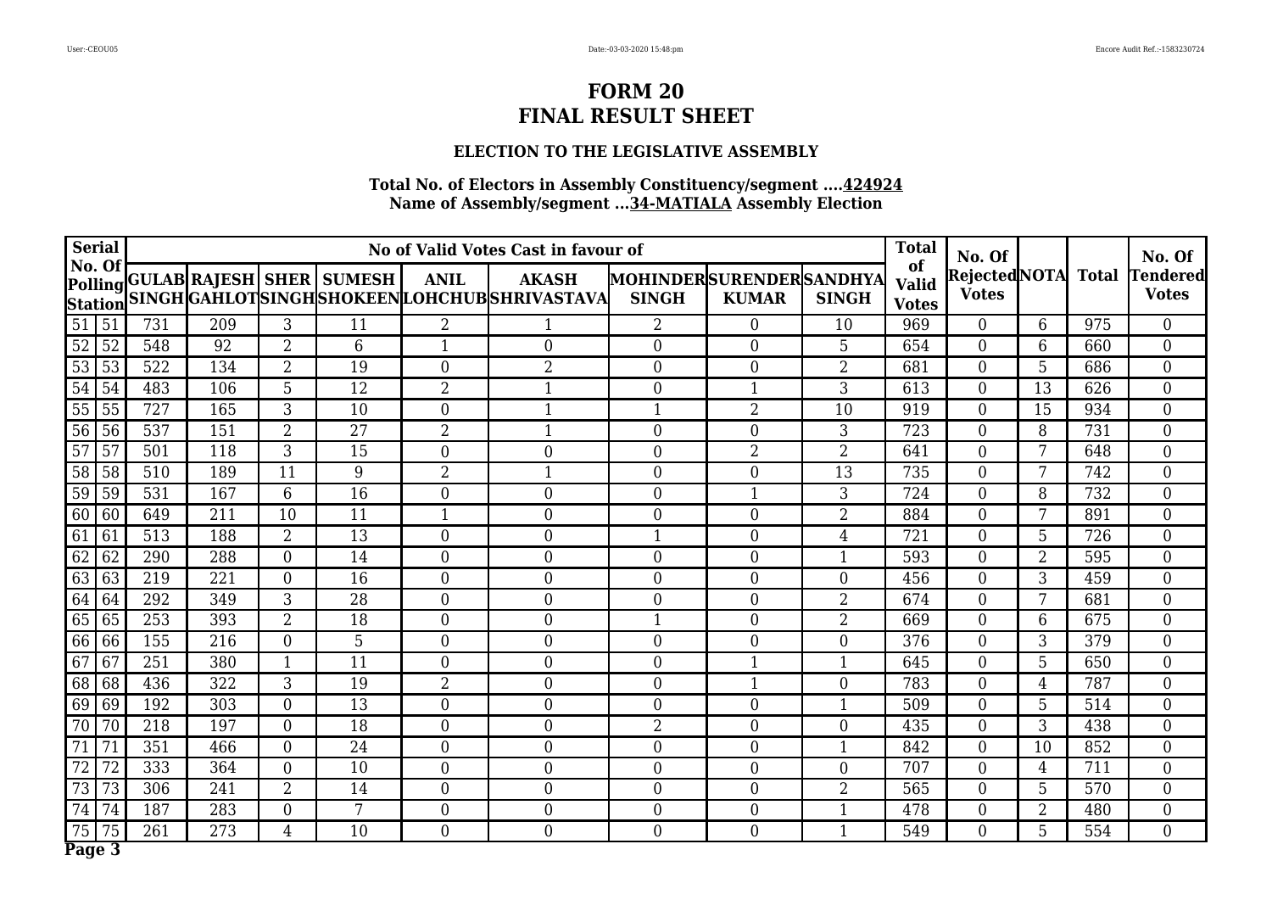## **ELECTION TO THE LEGISLATIVE ASSEMBLY**

| <b>Serial</b>                      |     |     |                  |                                  |                  | No of Valid Votes Cast in favour of                            |                                                |                  |                | <b>Total</b>                       | No. Of                             |                 |                  | No. Of                          |
|------------------------------------|-----|-----|------------------|----------------------------------|------------------|----------------------------------------------------------------|------------------------------------------------|------------------|----------------|------------------------------------|------------------------------------|-----------------|------------------|---------------------------------|
| No. Of<br><b>Station</b>           |     |     |                  | Polling GULAB RAJESH SHER SUMESH | <b>ANIL</b>      | <b>AKASH</b><br>SINGH GAHLOT SINGH SHOKEEN LOHCHUB SHRIVASTAVA | <b>MOHINDERSURENDERSANDHYA</b><br><b>SINGH</b> | <b>KUMAR</b>     | <b>SINGH</b>   | of<br><b>Valid</b><br><b>Votes</b> | RejectedNOTA Total<br><b>Votes</b> |                 |                  | <b>Tendered</b><br><b>Votes</b> |
| 51<br>51                           | 731 | 209 | 3                | 11                               | $\overline{2}$   |                                                                | $\overline{2}$                                 | $\overline{0}$   | 10             | 969                                | $\overline{0}$                     | 6               | 975              | $\overline{0}$                  |
| $\overline{52}$<br>$\overline{52}$ | 548 | 92  | $\overline{2}$   | 6                                | $\mathbf{1}$     | $\theta$                                                       | $\theta$                                       | $\overline{0}$   | 5              | 654                                | $\overline{0}$                     | 6               | 660              | $\overline{0}$                  |
| $\overline{53}$<br>53              | 522 | 134 | $\overline{2}$   | 19                               | $\overline{0}$   | $\overline{2}$                                                 | $\overline{0}$                                 | $\boldsymbol{0}$ | $\overline{2}$ | 681                                | $\boldsymbol{0}$                   | 5               | 686              | $\boldsymbol{0}$                |
| 54<br>$\overline{54}$              | 483 | 106 | 5                | $\overline{12}$                  | $\overline{2}$   | $\mathbf{1}$                                                   | $\theta$                                       | $\mathbf{1}$     | 3              | 613                                | $\overline{0}$                     | $\overline{13}$ | 626              | $\overline{0}$                  |
| 55<br>55                           | 727 | 165 | 3                | 10                               | $\overline{0}$   | $\mathbf{1}$                                                   | $\overline{1}$                                 | $\overline{2}$   | 10             | 919                                | $\boldsymbol{0}$                   | 15              | 934              | $\overline{0}$                  |
| 56<br>56                           | 537 | 151 | $\overline{2}$   | $\overline{27}$                  | $\overline{2}$   | $\mathbf{1}$                                                   | $\mathbf{0}$                                   | $\overline{0}$   | 3              | 723                                | $\overline{0}$                     | 8               | 731              | $\boldsymbol{0}$                |
| 57<br>57                           | 501 | 118 | 3                | 15                               | $\overline{0}$   | $\boldsymbol{0}$                                               | $\mathbf{0}$                                   | $\overline{2}$   | $\overline{2}$ | 641                                | $\overline{0}$                     | 7               | 648              | $\boldsymbol{0}$                |
| $\overline{58}$<br>58              | 510 | 189 | 11               | 9                                | $\overline{2}$   | $\mathbf{1}$                                                   | $\theta$                                       | $\overline{0}$   | 13             | 735                                | $\overline{0}$                     | 7               | 742              | $\overline{0}$                  |
| 59<br>59                           | 531 | 167 | 6                | 16                               | $\overline{0}$   | $\mathbf{0}$                                                   | $\overline{0}$                                 |                  | 3              | 724                                | $\overline{0}$                     | 8               | 732              | $\boldsymbol{0}$                |
| 60<br>60                           | 649 | 211 | 10               | 11                               |                  | $\mathbf{0}$                                                   | $\overline{0}$                                 | $\overline{0}$   | $\overline{2}$ | 884                                | $\overline{0}$                     | $\overline{7}$  | 891              | $\overline{0}$                  |
| 61<br>61                           | 513 | 188 | $\overline{2}$   | 13                               | $\overline{0}$   | $\overline{0}$                                                 | $\mathbf 1$                                    | $\overline{0}$   | $\overline{4}$ | 721                                | $\overline{0}$                     | 5               | 726              | $\overline{0}$                  |
| 62<br>$\overline{62}$              | 290 | 288 | $\overline{0}$   | 14                               | $\overline{0}$   | $\theta$                                                       | $\theta$                                       | $\overline{0}$   |                | 593                                | $\overline{0}$                     | $\overline{2}$  | $\overline{595}$ | $\overline{0}$                  |
| 63<br>63                           | 219 | 221 | $\overline{0}$   | 16                               | $\theta$         | $\overline{0}$                                                 | $\theta$                                       | $\overline{0}$   | $\Omega$       | 456                                | $\overline{0}$                     | 3               | 459              | $\overline{0}$                  |
| 64<br>64                           | 292 | 349 | 3                | 28                               | $\boldsymbol{0}$ | $\boldsymbol{0}$                                               | $\mathbf{0}$                                   | $\overline{0}$   | $\overline{2}$ | 674                                | $\overline{0}$                     | 7               | 681              | $\boldsymbol{0}$                |
| 65<br>65                           | 253 | 393 | $\overline{2}$   | 18                               | $\overline{0}$   | $\boldsymbol{0}$                                               | 1                                              | $\overline{0}$   | $\overline{2}$ | 669                                | $\overline{0}$                     | 6               | 675              | $\overline{0}$                  |
| 66<br>66                           | 155 | 216 | $\overline{0}$   | 5                                | $\overline{0}$   | $\mathbf{0}$                                                   | $\theta$                                       | $\overline{0}$   | $\Omega$       | 376                                | $\overline{0}$                     | $\overline{3}$  | 379              | $\overline{0}$                  |
| 67<br>67                           | 251 | 380 | $\mathbf 1$      | 11                               | $\overline{0}$   | $\overline{0}$                                                 | $\mathbf{0}$                                   |                  |                | 645                                | $\overline{0}$                     | 5               | 650              | $\boldsymbol{0}$                |
| 68<br>68                           | 436 | 322 | 3                | 19                               | $\overline{2}$   | $\boldsymbol{0}$                                               | $\overline{0}$                                 | $\mathbf{1}$     | $\overline{0}$ | 783                                | $\overline{0}$                     | $\overline{4}$  | 787              | $\overline{0}$                  |
| 69<br>69                           | 192 | 303 | $\overline{0}$   | 13                               | $\overline{0}$   | $\boldsymbol{0}$                                               | $\overline{0}$                                 | $\boldsymbol{0}$ | 1              | 509                                | $\overline{0}$                     | 5               | 514              | $\boldsymbol{0}$                |
| $\overline{70}$<br>70              | 218 | 197 | $\overline{0}$   | 18                               | $\overline{0}$   | $\boldsymbol{0}$                                               | $\overline{2}$                                 | $\boldsymbol{0}$ | $\overline{0}$ | 435                                | $\overline{0}$                     | 3               | 438              | $\boldsymbol{0}$                |
| 71<br>71                           | 351 | 466 | $\boldsymbol{0}$ | 24                               | $\overline{0}$   | $\mathbf{0}$                                                   | $\overline{0}$                                 | $\boldsymbol{0}$ | 1              | 842                                | $\overline{0}$                     | 10              | 852              | $\overline{0}$                  |
| 72<br>72                           | 333 | 364 | $\overline{0}$   | 10                               | $\overline{0}$   | $\boldsymbol{0}$                                               | $\overline{0}$                                 | $\boldsymbol{0}$ | $\overline{0}$ | 707                                | $\overline{0}$                     | 4               | 711              | $\overline{0}$                  |
| 73<br>73                           | 306 | 241 | $\overline{2}$   | 14                               | $\overline{0}$   | $\overline{0}$                                                 | $\overline{0}$                                 | $\overline{0}$   | $\overline{2}$ | 565                                | $\overline{0}$                     | 5               | 570              | $\overline{0}$                  |
| 74<br>74                           | 187 | 283 | $\mathbf{0}$     | 7                                | $\boldsymbol{0}$ | $\boldsymbol{0}$                                               | $\overline{0}$                                 | $\boldsymbol{0}$ |                | 478                                | 0                                  | $\overline{2}$  | 480              | $\boldsymbol{0}$                |
| 75<br>75                           | 261 | 273 | $\overline{4}$   | 10                               | $\overline{0}$   | $\overline{0}$                                                 | $\overline{0}$                                 | $\overline{0}$   | $\mathbf{1}$   | 549                                | $\overline{0}$                     | 5               | 554              | $\boldsymbol{0}$                |
| Page 3                             |     |     |                  |                                  |                  |                                                                |                                                |                  |                |                                    |                                    |                 |                  |                                 |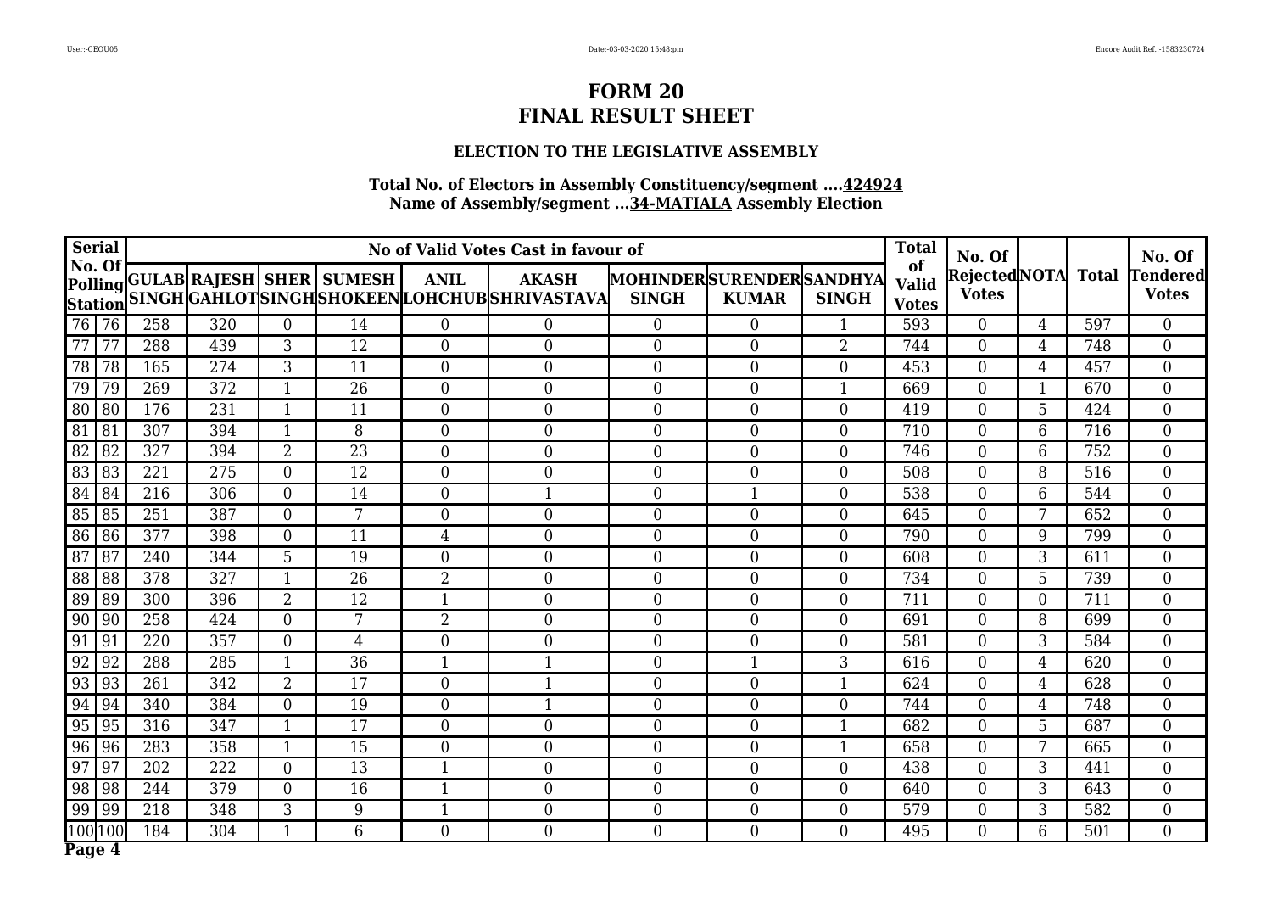### **ELECTION TO THE LEGISLATIVE ASSEMBLY**

| <b>Serial</b>            |                 |     |     |                  |                                  |                | No of Valid Votes Cast in favour of                            |                                                |                  |                  | <b>Total</b>                       | No. Of                             |                  |                  | No. Of                          |
|--------------------------|-----------------|-----|-----|------------------|----------------------------------|----------------|----------------------------------------------------------------|------------------------------------------------|------------------|------------------|------------------------------------|------------------------------------|------------------|------------------|---------------------------------|
| No. Of<br><b>Station</b> |                 |     |     |                  | Polling GULAB RAJESH SHER SUMESH | <b>ANIL</b>    | <b>AKASH</b><br>SINGH GAHLOT SINGH SHOKEEN LOHCHUB SHRIVASTAVA | <b>MOHINDERSURENDERSANDHYA</b><br><b>SINGH</b> | <b>KUMAR</b>     | <b>SINGH</b>     | of<br><b>Valid</b><br><b>Votes</b> | RejectedNOTA Total<br><b>Votes</b> |                  |                  | <b>Tendered</b><br><b>Votes</b> |
| 76 76                    |                 | 258 | 320 | $\overline{0}$   | 14                               | $\overline{0}$ | $\overline{0}$                                                 | $\Omega$                                       | $\overline{0}$   | $\mathbf{1}$     | 593                                | $\overline{0}$                     | $\overline{4}$   | 597              | $\overline{0}$                  |
| $\overline{77}$          | $\overline{77}$ | 288 | 439 | 3                | 12                               | $\overline{0}$ | $\theta$                                                       | $\Omega$                                       | $\overline{0}$   | $\overline{2}$   | 744                                | $\overline{0}$                     | 4                | 748              | $\overline{0}$                  |
| 78                       | $\overline{78}$ | 165 | 274 | 3                | 11                               | $\overline{0}$ | $\boldsymbol{0}$                                               | $\overline{0}$                                 | $\boldsymbol{0}$ | $\overline{0}$   | 453                                | $\boldsymbol{0}$                   | $\overline{4}$   | 457              | $\boldsymbol{0}$                |
| 79                       | 79              | 269 | 372 | $\mathbf{1}$     | $\overline{26}$                  | $\theta$       | $\theta$                                                       | $\theta$                                       | $\overline{0}$   | 1                | 669                                | $\overline{0}$                     | $\mathbf{1}$     | 670              | $\overline{0}$                  |
| 80                       | 80              | 176 | 231 | $\mathbf{1}$     | 11                               | $\theta$       | $\overline{0}$                                                 | $\mathbf{0}$                                   | $\boldsymbol{0}$ | $\Omega$         | 419                                | $\boldsymbol{0}$                   | 5                | 424              | $\overline{0}$                  |
| 81                       | 81              | 307 | 394 | $\mathbf{1}$     | 8                                | $\overline{0}$ | $\overline{0}$                                                 | $\mathbf{0}$                                   | $\boldsymbol{0}$ | $\Omega$         | 710                                | $\overline{0}$                     | 6                | 716              | $\boldsymbol{0}$                |
| 82                       | 82              | 327 | 394 | $\overline{2}$   | $\overline{23}$                  | $\overline{0}$ | $\boldsymbol{0}$                                               | $\mathbf{0}$                                   | $\boldsymbol{0}$ | $\overline{0}$   | 746                                | $\overline{0}$                     | 6                | 752              | $\boldsymbol{0}$                |
| 83                       | 83              | 221 | 275 | $\overline{0}$   | 12                               | $\overline{0}$ | $\theta$                                                       | $\theta$                                       | $\overline{0}$   | $\Omega$         | 508                                | $\overline{0}$                     | 8                | 516              | $\boldsymbol{0}$                |
| 84                       | 84              | 216 | 306 | $\overline{0}$   | 14                               | $\overline{0}$ |                                                                | $\overline{0}$                                 |                  | $\theta$         | 538                                | $\overline{0}$                     | 6                | 544              | $\boldsymbol{0}$                |
| 85                       | 85              | 251 | 387 | $\overline{0}$   | 7                                | $\overline{0}$ | $\mathbf{0}$                                                   | $\overline{0}$                                 | $\overline{0}$   | $\theta$         | 645                                | $\overline{0}$                     | $\overline{7}$   | 652              | $\overline{0}$                  |
| 86                       | 86              | 377 | 398 | $\overline{0}$   | 11                               | $\overline{4}$ | $\overline{0}$                                                 | $\mathbf{0}$                                   | $\overline{0}$   | $\Omega$         | 790                                | $\overline{0}$                     | 9                | 799              | $\overline{0}$                  |
| 87                       | $\overline{87}$ | 240 | 344 | $\overline{5}$   | 19                               | $\overline{0}$ | $\theta$                                                       | $\theta$                                       | $\overline{0}$   | $\theta$         | 608                                | $\overline{0}$                     | 3                | $\overline{611}$ | $\overline{0}$                  |
| 88                       | 88              | 378 | 327 | $\mathbf 1$      | 26                               | $\overline{2}$ | $\overline{0}$                                                 | $\theta$                                       | $\overline{0}$   | $\Omega$         | 734                                | $\overline{0}$                     | 5                | 739              | $\overline{0}$                  |
| 89                       | 89              | 300 | 396 | $\overline{2}$   | 12                               | $\mathbf{1}$   | $\boldsymbol{0}$                                               | $\mathbf{0}$                                   | $\boldsymbol{0}$ | $\overline{0}$   | 711                                | $\overline{0}$                     | $\boldsymbol{0}$ | 711              | $\boldsymbol{0}$                |
| 90                       | 90              | 258 | 424 | $\overline{0}$   | $7\overline{ }$                  | $\overline{2}$ | $\boldsymbol{0}$                                               | $\overline{0}$                                 | $\overline{0}$   | $\overline{0}$   | 691                                | $\overline{0}$                     | 8                | 699              | $\overline{0}$                  |
| 91                       | 91              | 220 | 357 | $\overline{0}$   | $\overline{4}$                   | $\overline{0}$ | $\overline{0}$                                                 | $\theta$                                       | $\overline{0}$   | $\overline{0}$   | 581                                | $\overline{0}$                     | $\overline{3}$   | 584              | $\overline{0}$                  |
| 92                       | 92              | 288 | 285 | -1               | $\overline{36}$                  |                | 1                                                              | $\mathbf{0}$                                   |                  | 3                | 616                                | $\overline{0}$                     | $\overline{4}$   | 620              | $\boldsymbol{0}$                |
| 93                       | 93              | 261 | 342 | $\overline{2}$   | 17                               | $\overline{0}$ | $\mathbf{1}$                                                   | $\overline{0}$                                 | $\boldsymbol{0}$ |                  | 624                                | $\overline{0}$                     | $\overline{4}$   | 628              | $\overline{0}$                  |
| 94                       | 94              | 340 | 384 | $\boldsymbol{0}$ | 19                               | $\overline{0}$ | $\mathbf{1}$                                                   | $\overline{0}$                                 | $\boldsymbol{0}$ | $\overline{0}$   | 744                                | $\overline{0}$                     | $\overline{4}$   | 748              | $\boldsymbol{0}$                |
| 95                       | 95              | 316 | 347 | $\mathbf{1}$     | 17                               | $\overline{0}$ | $\boldsymbol{0}$                                               | $\overline{0}$                                 | $\boldsymbol{0}$ | 1                | 682                                | $\overline{0}$                     | 5                | 687              | $\boldsymbol{0}$                |
| 96                       | 96              | 283 | 358 | $\mathbf{1}$     | 15                               | $\overline{0}$ | $\mathbf{0}$                                                   | $\overline{0}$                                 | $\boldsymbol{0}$ | 1                | 658                                | $\overline{0}$                     | 7                | 665              | $\overline{0}$                  |
| 97                       | 97              | 202 | 222 | $\overline{0}$   | 13                               | $\mathbf{1}$   | $\boldsymbol{0}$                                               | $\overline{0}$                                 | $\boldsymbol{0}$ | $\overline{0}$   | 438                                | $\overline{0}$                     | 3                | 441              | $\overline{0}$                  |
| 98                       | 98              | 244 | 379 | $\overline{0}$   | 16                               | $\mathbf{1}$   | $\boldsymbol{0}$                                               | $\overline{0}$                                 | $\overline{0}$   | $\Omega$         | 640                                | $\overline{0}$                     | 3                | 643              | $\overline{0}$                  |
| 99                       | 99              | 218 | 348 | 3                | 9                                | $\mathbf{1}$   | $\boldsymbol{0}$                                               | $\overline{0}$                                 | $\boldsymbol{0}$ | $\boldsymbol{0}$ | 579                                | 0                                  | 3                | 582              | $\boldsymbol{0}$                |
| 100                      | 100             | 184 | 304 | $\mathbf{1}$     | 6                                | $\overline{0}$ | $\overline{0}$                                                 | $\overline{0}$                                 | $\overline{0}$   | $\overline{0}$   | 495                                | $\overline{0}$                     | 6                | 501              | $\overline{0}$                  |
| Page 4                   |                 |     |     |                  |                                  |                |                                                                |                                                |                  |                  |                                    |                                    |                  |                  |                                 |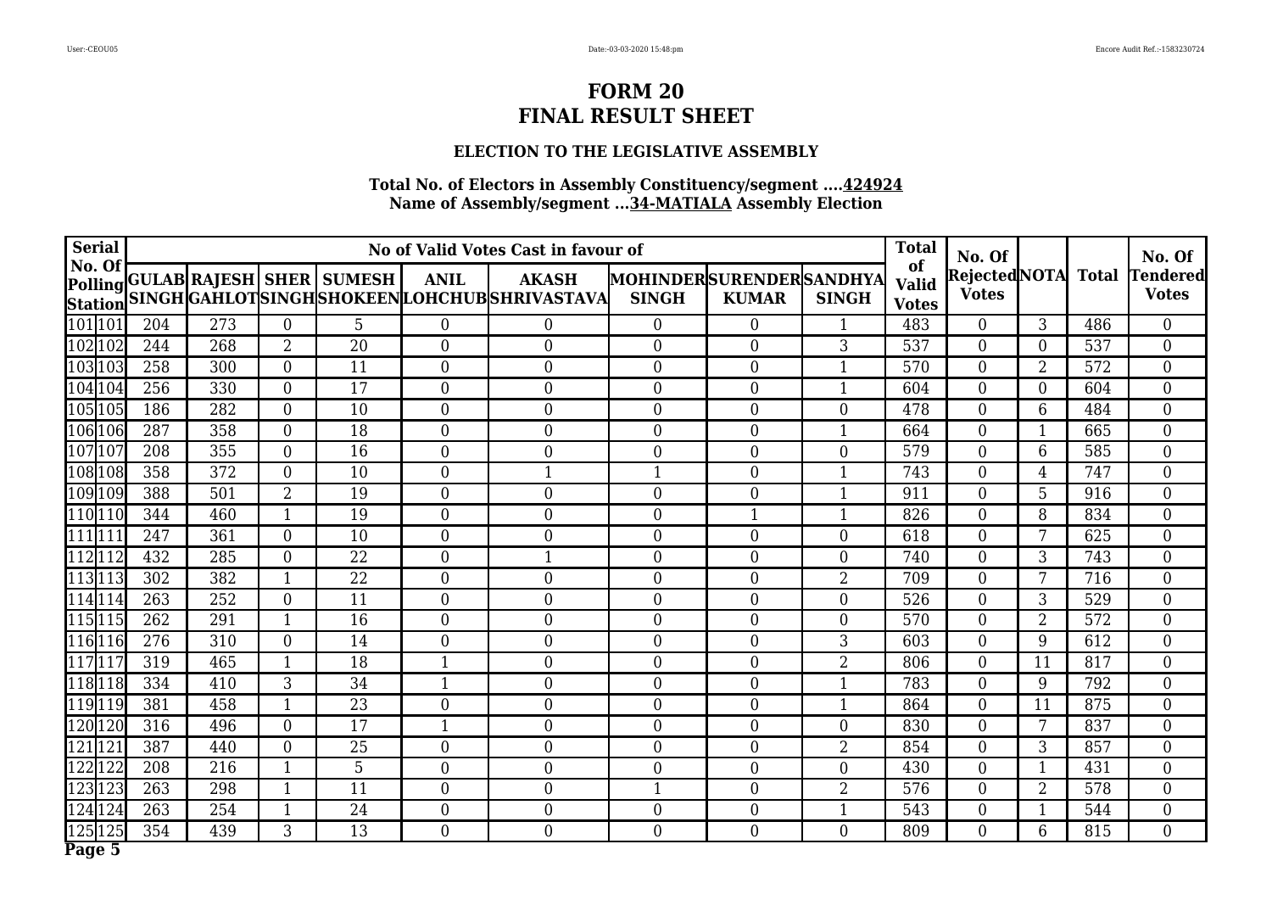## **ELECTION TO THE LEGISLATIVE ASSEMBLY**

| <b>Serial</b>       |     |     |                  |                                  |                  | No of Valid Votes Cast in favour of                                   |                  |                                                |                | <b>Total</b>                       | No. Of                              |                 |              | No. Of                          |
|---------------------|-----|-----|------------------|----------------------------------|------------------|-----------------------------------------------------------------------|------------------|------------------------------------------------|----------------|------------------------------------|-------------------------------------|-----------------|--------------|---------------------------------|
| No. Of              |     |     |                  | Polling GULAB RAJESH SHER SUMESH | <b>ANIL</b>      | <b>AKASH</b><br>Station SINGH GAHLOTSINGH SHOKEEN LOHCHUB SHRIVASTAVA | <b>SINGH</b>     | <b>MOHINDERSURENDERSANDHYA</b><br><b>KUMAR</b> | <b>SINGH</b>   | of<br><b>Valid</b><br><b>Votes</b> | <b>RejectedNOTA</b><br><b>Votes</b> |                 | <b>Total</b> | <b>Tendered</b><br><b>Votes</b> |
| 101 101             | 204 | 273 | $\theta$         | 5                                | $\theta$         | $\theta$                                                              | $\Omega$         | $\overline{0}$                                 |                | 483                                | $\theta$                            | 3               | 486          | $\overline{0}$                  |
| 102102              | 244 | 268 | $\overline{2}$   | $\overline{20}$                  | $\overline{0}$   | $\mathbf{0}$                                                          | $\theta$         | $\overline{0}$                                 | 3              | 537                                | $\overline{0}$                      | $\overline{0}$  | 537          | $\overline{0}$                  |
| 103103              | 258 | 300 | $\overline{0}$   | 11                               | $\overline{0}$   | $\mathbf{0}$                                                          | $\overline{0}$   | $\overline{0}$                                 | 1              | 570                                | $\mathbf{0}$                        | $\overline{2}$  | 572          | $\overline{0}$                  |
| 104104              | 256 | 330 | $\theta$         | 17                               | $\theta$         | $\mathbf{0}$                                                          | $\theta$         | $\overline{0}$                                 | $\mathbf{1}$   | 604                                | $\overline{0}$                      | $\overline{0}$  | 604          | $\overline{0}$                  |
| 105105              | 186 | 282 | $\mathbf{0}$     | 10                               | $\theta$         | $\mathbf{0}$                                                          | $\overline{0}$   | $\overline{0}$                                 | $\Omega$       | 478                                | $\overline{0}$                      | 6               | 484          | $\boldsymbol{0}$                |
| 106106              | 287 | 358 | $\theta$         | 18                               | $\overline{0}$   | $\overline{0}$                                                        | $\overline{0}$   | $\overline{0}$                                 |                | 664                                | $\overline{0}$                      |                 | 665          | $\boldsymbol{0}$                |
| 107  107            | 208 | 355 | $\Omega$         | 16                               | $\Omega$         | $\mathbf{0}$                                                          | $\overline{0}$   | $\overline{0}$                                 | $\Omega$       | 579                                | $\overline{0}$                      | 6               | 585          | $\boldsymbol{0}$                |
| 108108              | 358 | 372 | $\theta$         | 10                               | $\theta$         | $\mathbf{1}$                                                          | 1                | $\overline{0}$                                 |                | 743                                | $\overline{0}$                      | $\overline{4}$  | 747          | $\overline{0}$                  |
| 109109              | 388 | 501 | $\overline{2}$   | 19                               | $\Omega$         | $\mathbf{0}$                                                          | $\overline{0}$   | $\boldsymbol{0}$                               |                | 911                                | $\boldsymbol{0}$                    | 5               | 916          | 0                               |
| 110110              | 344 | 460 | $\mathbf{1}$     | 19                               | $\overline{0}$   | $\boldsymbol{0}$                                                      | $\overline{0}$   | 1                                              |                | 826                                | $\boldsymbol{0}$                    | 8               | 834          | $\boldsymbol{0}$                |
| 111111              | 247 | 361 | $\overline{0}$   | 10                               | $\mathbf{0}$     | $\boldsymbol{0}$                                                      | $\overline{0}$   | $\overline{0}$                                 | $\Omega$       | 618                                | $\boldsymbol{0}$                    | 7               | 625          | 0                               |
| 112112              | 432 | 285 | $\overline{0}$   | 22                               | $\overline{0}$   | 1                                                                     | $\theta$         | $\boldsymbol{0}$                               | $\overline{0}$ | 740                                | $\boldsymbol{0}$                    | 3               | 743          | $\boldsymbol{0}$                |
| 113113              | 302 | 382 | $\mathbf{1}$     | 22                               | $\overline{0}$   | $\boldsymbol{0}$                                                      | $\overline{0}$   | $\boldsymbol{0}$                               | $\overline{2}$ | 709                                | $\boldsymbol{0}$                    | 7               | 716          | $\boldsymbol{0}$                |
| 114114              | 263 | 252 | $\boldsymbol{0}$ | 11                               | $\boldsymbol{0}$ | $\boldsymbol{0}$                                                      | 0                | $\boldsymbol{0}$                               | $\overline{0}$ | 526                                | $\boldsymbol{0}$                    | 3               | 529          | $\overline{0}$                  |
| 115115              | 262 | 291 | $\mathbf{1}$     | 16                               | $\overline{0}$   | $\boldsymbol{0}$                                                      | $\overline{0}$   | $\boldsymbol{0}$                               | $\overline{0}$ | 570                                | $\boldsymbol{0}$                    | $\overline{2}$  | 572          | $\overline{0}$                  |
| 116116              | 276 | 310 | $\mathbf{0}$     | 14                               | $\overline{0}$   | $\mathbf{0}$                                                          | $\overline{0}$   | $\boldsymbol{0}$                               | 3              | 603                                | $\overline{0}$                      | 9               | 612          | $\overline{0}$                  |
| $\overline{117}117$ | 319 | 465 | $\mathbf{1}$     | 18                               | $\mathbf{1}$     | $\mathbf{0}$                                                          | $\overline{0}$   | $\boldsymbol{0}$                               | 2              | 806                                | $\boldsymbol{0}$                    | 11              | 817          | $\overline{0}$                  |
| 118118              | 334 | 410 | 3                | 34                               | $\mathbf{1}$     | $\boldsymbol{0}$                                                      | $\overline{0}$   | $\boldsymbol{0}$                               | $\mathbf{1}$   | 783                                | $\boldsymbol{0}$                    | 9               | 792          | $\overline{0}$                  |
| 119119              | 381 | 458 | $\mathbf{1}$     | 23                               | $\boldsymbol{0}$ | $\boldsymbol{0}$                                                      | $\overline{0}$   | $\overline{0}$                                 | $\mathbf{1}$   | 864                                | $\overline{0}$                      | 11              | 875          | $\overline{0}$                  |
| 120120              | 316 | 496 | $\boldsymbol{0}$ | 17                               | $\mathbf{1}$     | $\mathbf{0}$                                                          | $\overline{0}$   | $\boldsymbol{0}$                               | $\overline{0}$ | 830                                | $\boldsymbol{0}$                    | $7\overline{ }$ | 837          | $\overline{0}$                  |
| 121121              | 387 | 440 | $\boldsymbol{0}$ | 25                               | $\boldsymbol{0}$ | $\mathbf{0}$                                                          | $\overline{0}$   | $\boldsymbol{0}$                               | 2              | 854                                | $\boldsymbol{0}$                    | 3               | 857          | $\boldsymbol{0}$                |
| 122122              | 208 | 216 | $\mathbf{1}$     | $\overline{5}$                   | $\boldsymbol{0}$ | $\boldsymbol{0}$                                                      | $\boldsymbol{0}$ | $\overline{0}$                                 | $\overline{0}$ | 430                                | $\boldsymbol{0}$                    | $\mathbf{1}$    | 431          | $\overline{0}$                  |
| 123123              | 263 | 298 | $\mathbf{1}$     | 11                               | $\overline{0}$   | $\mathbf{0}$                                                          | $\mathbf{1}$     | $\boldsymbol{0}$                               | $\overline{2}$ | 576                                | $\overline{0}$                      | $\overline{2}$  | 578          | $\overline{0}$                  |
| 124124              | 263 | 254 | $\mathbf{1}$     | 24                               | $\boldsymbol{0}$ | $\boldsymbol{0}$                                                      | $\boldsymbol{0}$ | $\boldsymbol{0}$                               |                | 543                                | $\boldsymbol{0}$                    | $\mathbf{1}$    | 544          | $\overline{0}$                  |
| 125125              | 354 | 439 | 3                | 13                               | $\boldsymbol{0}$ | $\boldsymbol{0}$                                                      | $\overline{0}$   | $\overline{0}$                                 | $\overline{0}$ | 809                                | $\overline{0}$                      | 6               | 815          | $\overline{0}$                  |
| Page 5              |     |     |                  |                                  |                  |                                                                       |                  |                                                |                |                                    |                                     |                 |              |                                 |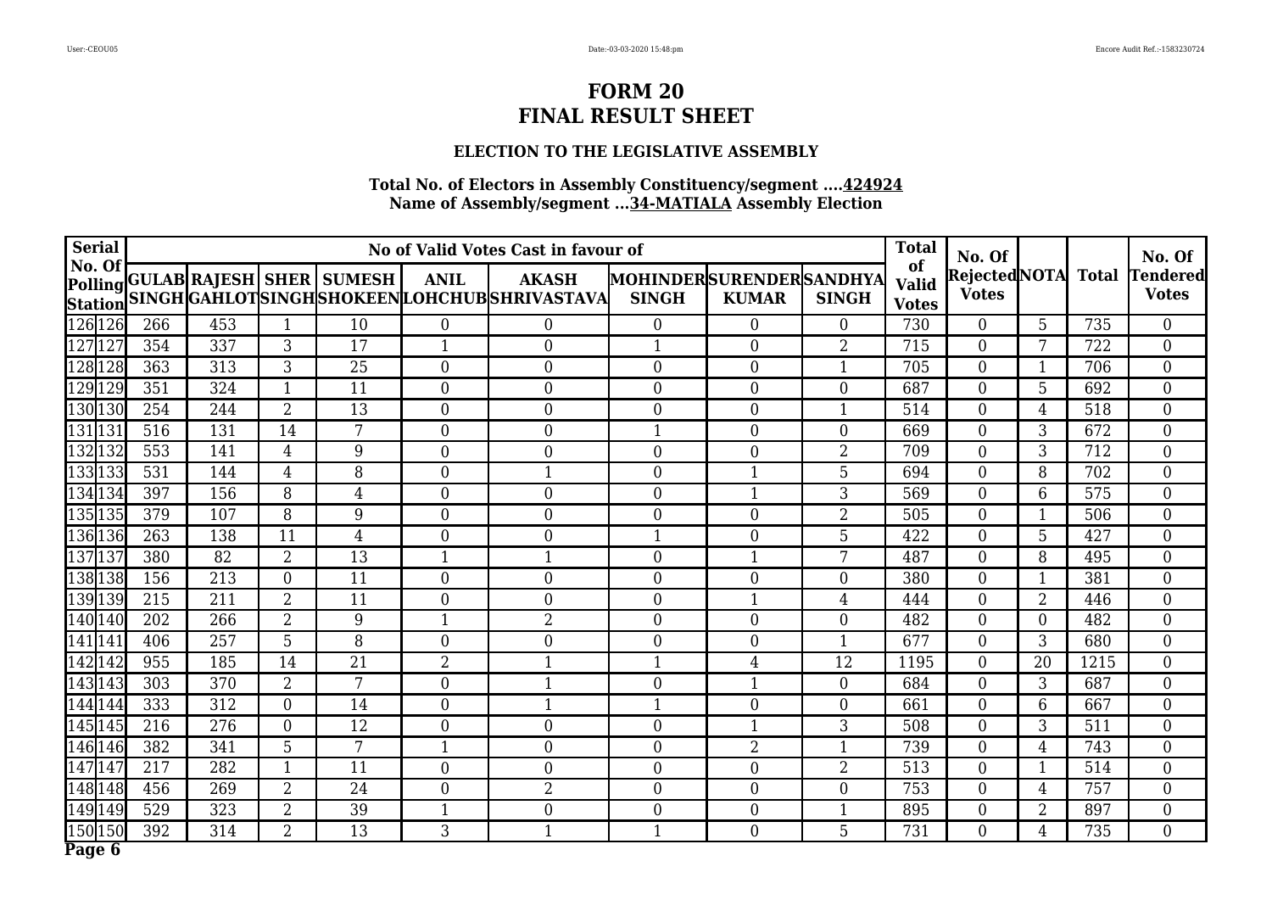## **ELECTION TO THE LEGISLATIVE ASSEMBLY**

| <b>Serial</b>            |     |                 |                  |                                  |                  | No of Valid Votes Cast in favour of                           |                                                |                  |                 | <b>Total</b>                       | No. Of                             |                |      | No. Of                   |
|--------------------------|-----|-----------------|------------------|----------------------------------|------------------|---------------------------------------------------------------|------------------------------------------------|------------------|-----------------|------------------------------------|------------------------------------|----------------|------|--------------------------|
| No. Of<br><b>Station</b> |     |                 |                  | Polling GULAB RAJESH SHER SUMESH | <b>ANIL</b>      | <b>AKASH</b><br>SINGH GAHLOTSINGH SHOKEEN LOHCHUB SHRIVASTAVA | <b>MOHINDERSURENDERSANDHYA</b><br><b>SINGH</b> | <b>KUMAR</b>     | <b>SINGH</b>    | of<br><b>Valid</b><br><b>Votes</b> | RejectedNOTA Total<br><b>Votes</b> |                |      | Tendered<br><b>Votes</b> |
| 126 126                  | 266 | 453             | $\mathbf{1}$     | 10                               | $\overline{0}$   | $\overline{0}$                                                | $\overline{0}$                                 | $\overline{0}$   | $\overline{0}$  | 730                                | $\overline{0}$                     | 5              | 735  | $\overline{0}$           |
| 127127                   | 354 | 337             | 3                | 17                               | $\mathbf{1}$     | $\overline{0}$                                                | $\mathbf{1}$                                   | $\overline{0}$   | $\overline{2}$  | 715                                | $\overline{0}$                     | 7              | 722  | $\overline{0}$           |
| 12811<br>128             | 363 | 313             | 3                | 25                               | $\overline{0}$   | $\boldsymbol{0}$                                              | $\overline{0}$                                 | $\boldsymbol{0}$ |                 | 705                                | $\boldsymbol{0}$                   | 1              | 706  | $\boldsymbol{0}$         |
| 129129                   | 351 | 324             | $\mathbf{1}$     | 11                               | $\theta$         | $\theta$                                                      | $\theta$                                       | $\overline{0}$   | $\Omega$        | 687                                | $\overline{0}$                     | 5              | 692  | $\overline{0}$           |
| 130130                   | 254 | 244             | $\overline{2}$   | 13                               | $\theta$         | $\overline{0}$                                                | $\mathbf{0}$                                   | $\boldsymbol{0}$ |                 | 514                                | $\boldsymbol{0}$                   | $\overline{4}$ | 518  | $\overline{0}$           |
| 131131                   | 516 | 131             | 14               | 7                                | $\overline{0}$   | $\overline{0}$                                                | $\mathbf{1}$                                   | $\boldsymbol{0}$ | $\Omega$        | 669                                | $\boldsymbol{0}$                   | 3              | 672  | $\boldsymbol{0}$         |
| 132132                   | 553 | 141             | $\overline{4}$   | 9                                | $\overline{0}$   | $\boldsymbol{0}$                                              | $\mathbf{0}$                                   | $\boldsymbol{0}$ | $\overline{2}$  | 709                                | $\boldsymbol{0}$                   | 3              | 712  | $\boldsymbol{0}$         |
| 133133                   | 531 | 144             | $\overline{4}$   | 8                                | $\overline{0}$   | $\overline{1}$                                                | $\overline{0}$                                 | $\mathbf{1}$     | 5               | 694                                | $\overline{0}$                     | 8              | 702  | $\boldsymbol{0}$         |
| 134134                   | 397 | 156             | 8                | $\overline{4}$                   | $\overline{0}$   | $\overline{0}$                                                | $\overline{0}$                                 |                  | 3               | 569                                | $\overline{0}$                     | 6              | 575  | $\boldsymbol{0}$         |
| 135135                   | 379 | 107             | 8                | 9                                | $\overline{0}$   | $\mathbf{0}$                                                  | $\overline{0}$                                 | $\overline{0}$   | $\overline{2}$  | 505                                | $\overline{0}$                     | $\mathbf{1}$   | 506  | $\overline{0}$           |
| 136 136                  | 263 | 138             | 11               | 4                                | $\overline{0}$   | $\overline{0}$                                                | $\mathbf 1$                                    | $\overline{0}$   | $5\phantom{.0}$ | 422                                | $\overline{0}$                     | 5              | 427  | $\overline{0}$           |
| 137 137                  | 380 | $\overline{82}$ | $\overline{2}$   | 13                               |                  | $\mathbf{1}$                                                  | $\theta$                                       | $\mathbf{1}$     | 7               | 487                                | $\overline{0}$                     | 8              | 495  | $\overline{0}$           |
| 138138                   | 156 | 213             | $\overline{0}$   | 11                               | $\overline{0}$   | $\overline{0}$                                                | $\theta$                                       | $\overline{0}$   | $\Omega$        | 380                                | $\overline{0}$                     | 1              | 381  | $\overline{0}$           |
| 139139                   | 215 | 211             | $\overline{2}$   | 11                               | $\boldsymbol{0}$ | $\boldsymbol{0}$                                              | $\mathbf{0}$                                   | $\mathbf{1}$     | $\overline{4}$  | 444                                | $\overline{0}$                     | $\overline{2}$ | 446  | $\boldsymbol{0}$         |
| 140140                   | 202 | 266             | $\overline{2}$   | 9                                | $\mathbf{1}$     | $\overline{2}$                                                | $\overline{0}$                                 | $\overline{0}$   | $\overline{0}$  | 482                                | $\overline{0}$                     | $\overline{0}$ | 482  | $\overline{0}$           |
| 141141                   | 406 | 257             | $\overline{5}$   | 8                                | $\overline{0}$   | $\mathbf{0}$                                                  | $\theta$                                       | $\overline{0}$   |                 | 677                                | $\overline{0}$                     | $\overline{3}$ | 680  | $\overline{0}$           |
| 142142                   | 955 | 185             | 14               | $\overline{21}$                  | $\overline{2}$   | 1                                                             | $\mathbf 1$                                    | 4                | 12              | 1195                               | $\overline{0}$                     | 20             | 1215 | $\boldsymbol{0}$         |
| 143143                   | 303 | 370             | $\overline{2}$   | $\overline{7}$                   | $\overline{0}$   | $\mathbf{1}$                                                  | $\boldsymbol{0}$                               | 1                | $\overline{0}$  | 684                                | $\boldsymbol{0}$                   | 3              | 687  | $\boldsymbol{0}$         |
| 144144                   | 333 | 312             | $\overline{0}$   | 14                               | $\overline{0}$   | $\mathbf{1}$                                                  | $\mathbf{1}$                                   | $\boldsymbol{0}$ | $\overline{0}$  | 661                                | $\overline{0}$                     | 6              | 667  | $\overline{0}$           |
| 145145                   | 216 | 276             | $\boldsymbol{0}$ | $\overline{12}$                  | $\boldsymbol{0}$ | $\boldsymbol{0}$                                              | $\mathbf{0}$                                   | 1                | 3               | 508                                | $\boldsymbol{0}$                   | 3              | 511  | $\boldsymbol{0}$         |
| 146146                   | 382 | 341             | 5                | 7                                | $\mathbf{1}$     | $\mathbf{0}$                                                  | $\overline{0}$                                 | $\overline{2}$   |                 | 739                                | $\overline{0}$                     | $\overline{4}$ | 743  | $\overline{0}$           |
| 147147                   | 217 | 282             | 1                | 11                               | $\overline{0}$   | $\boldsymbol{0}$                                              | $\overline{0}$                                 | $\boldsymbol{0}$ | $\overline{2}$  | 513                                | $\boldsymbol{0}$                   | $\mathbf{1}$   | 514  | $\overline{0}$           |
| 148148                   | 456 | 269             | $\overline{2}$   | 24                               | $\overline{0}$   | $\overline{2}$                                                | $\overline{0}$                                 | $\boldsymbol{0}$ | $\overline{0}$  | 753                                | $\boldsymbol{0}$                   | $\overline{4}$ | 757  | $\overline{0}$           |
| 149149                   | 529 | 323             | $\overline{2}$   | 39                               | $\mathbf{1}$     | $\boldsymbol{0}$                                              | $\overline{0}$                                 | $\boldsymbol{0}$ |                 | 895                                | $\boldsymbol{0}$                   | $\overline{2}$ | 897  | $\boldsymbol{0}$         |
| 150 150                  | 392 | 314             | $\overline{2}$   | 13                               | 3                | $\mathbf{1}$                                                  | $\mathbf{1}$                                   | $\overline{0}$   | 5               | 731                                | $\overline{0}$                     | $\overline{4}$ | 735  | $\overline{0}$           |
| Page 6                   |     |                 |                  |                                  |                  |                                                               |                                                |                  |                 |                                    |                                    |                |      |                          |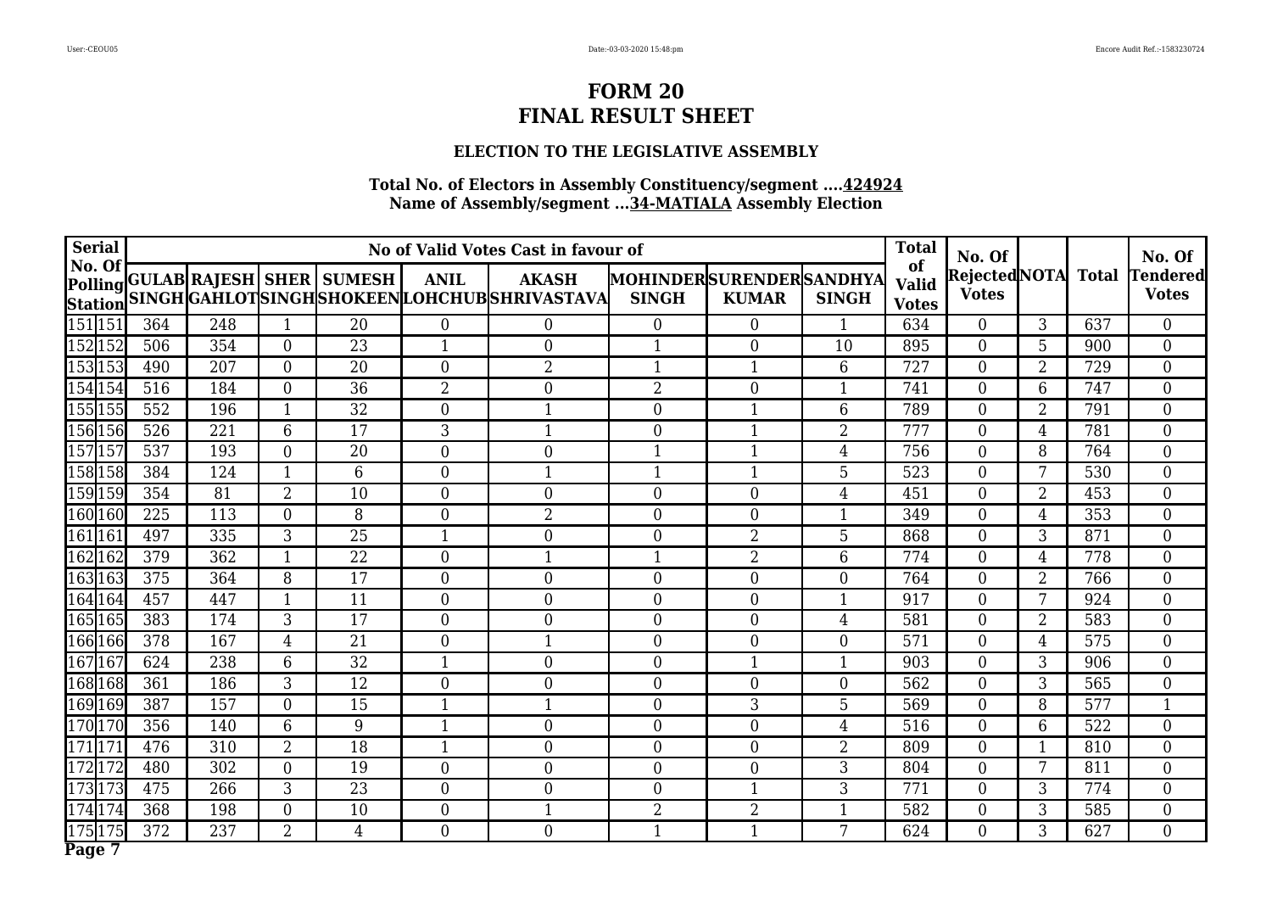## **ELECTION TO THE LEGISLATIVE ASSEMBLY**

| <b>Serial</b>            |                 |                  |                  |                                  |                  | No of Valid Votes Cast in favour of                            |                                                |                  |                | <b>Total</b>                       | No. Of                             |                |                  | No. Of                          |
|--------------------------|-----------------|------------------|------------------|----------------------------------|------------------|----------------------------------------------------------------|------------------------------------------------|------------------|----------------|------------------------------------|------------------------------------|----------------|------------------|---------------------------------|
| No. Of<br><b>Station</b> |                 |                  |                  | Polling GULAB RAJESH SHER SUMESH | <b>ANIL</b>      | <b>AKASH</b><br>SINGH GAHLOT SINGH SHOKEEN LOHCHUB SHRIVASTAVA | <b>MOHINDERSURENDERSANDHYA</b><br><b>SINGH</b> | <b>KUMAR</b>     | <b>SINGH</b>   | of<br><b>Valid</b><br><b>Votes</b> | RejectedNOTA Total<br><b>Votes</b> |                |                  | <b>Tendered</b><br><b>Votes</b> |
| 151151                   | 364             | 248              | $\mathbf{1}$     | 20                               | $\overline{0}$   | $\overline{0}$                                                 | $\overline{0}$                                 | $\overline{0}$   | $\mathbf{1}$   | 634                                | $\overline{0}$                     | 3              | 637              | $\overline{0}$                  |
| 152152                   | 506             | 354              | $\theta$         | 23                               | $\mathbf{1}$     | $\overline{0}$                                                 | $\mathbf{1}$                                   | $\overline{0}$   | 10             | 895                                | $\overline{0}$                     | 5              | 900              | $\overline{0}$                  |
| 153153                   | 490             | 207              | $\overline{0}$   | 20                               | $\overline{0}$   | $\overline{2}$                                                 | 1                                              | $\mathbf{1}$     | 6              | 727                                | $\boldsymbol{0}$                   | 2              | 729              | $\boldsymbol{0}$                |
| 154 154                  | 516             | 184              | $\overline{0}$   | $\overline{36}$                  | $\overline{2}$   | $\theta$                                                       | $\overline{2}$                                 | $\theta$         | 1              | 741                                | $\overline{0}$                     | 6              | 747              | $\overline{0}$                  |
| 155155                   | 552             | 196              | $\mathbf{1}$     | 32                               | $\theta$         | $\mathbf{1}$                                                   | $\mathbf{0}$                                   | $\mathbf{1}$     | 6              | 789                                | $\boldsymbol{0}$                   | 2              | 791              | $\overline{0}$                  |
| 156 156                  | 526             | 221              | 6                | 17                               | 3                | $\mathbf{1}$                                                   | $\mathbf{0}$                                   | $\mathbf{1}$     | $\overline{2}$ | 777                                | $\boldsymbol{0}$                   | $\overline{4}$ | 781              | $\boldsymbol{0}$                |
| 157157                   | 537             | 193              | $\overline{0}$   | 20                               | $\overline{0}$   | $\boldsymbol{0}$                                               | $\mathbf{1}$                                   | $\mathbf{1}$     | $\overline{4}$ | 756                                | $\overline{0}$                     | 8              | 764              | $\boldsymbol{0}$                |
| 158158                   | 384             | 124              | $\mathbf{1}$     | 6                                | $\overline{0}$   | $\overline{1}$                                                 | $\overline{1}$                                 | $\mathbf{1}$     | 5              | 523                                | $\overline{0}$                     | 7              | 530              | $\boldsymbol{0}$                |
| 159159                   | 354             | 81               | $\overline{2}$   | 10                               | $\overline{0}$   | $\overline{0}$                                                 | $\overline{0}$                                 | $\overline{0}$   | 4              | 451                                | $\overline{0}$                     | $\overline{2}$ | 453              | $\boldsymbol{0}$                |
| 160160                   | 225             | 113              | $\overline{0}$   | 8                                | $\overline{0}$   | $\overline{2}$                                                 | $\overline{0}$                                 | $\overline{0}$   |                | 349                                | $\overline{0}$                     | $\overline{4}$ | 353              | $\overline{0}$                  |
| 161 161                  | 497             | 335              | 3                | $\overline{25}$                  | $\mathbf{1}$     | $\overline{0}$                                                 | $\mathbf{0}$                                   | $\overline{2}$   | 5              | 868                                | $\overline{0}$                     | 3              | 871              | $\overline{0}$                  |
| 162162                   | 379             | $\overline{362}$ | $\mathbf{1}$     | $\overline{22}$                  | $\theta$         | $\mathbf{1}$                                                   | $\mathbf{1}$                                   | $\overline{2}$   | 6              | 774                                | $\overline{0}$                     | $\overline{4}$ | $\overline{778}$ | $\overline{0}$                  |
| 163 163                  | 375             | 364              | 8                | 17                               | $\overline{0}$   | $\overline{0}$                                                 | $\mathbf{0}$                                   | $\overline{0}$   | $\Omega$       | 764                                | $\overline{0}$                     | $\overline{2}$ | 766              | $\overline{0}$                  |
| 164164                   | 457             | 447              | $\mathbf{1}$     | 11                               | $\boldsymbol{0}$ | $\boldsymbol{0}$                                               | $\mathbf{0}$                                   | $\boldsymbol{0}$ | 1              | 917                                | $\overline{0}$                     | 7              | 924              | $\boldsymbol{0}$                |
| 165 165                  | 383             | 174              | 3                | 17                               | $\overline{0}$   | $\boldsymbol{0}$                                               | $\overline{0}$                                 | $\overline{0}$   | 4              | 581                                | $\overline{0}$                     | 2              | 583              | $\overline{0}$                  |
| 166 166                  | $\frac{1}{378}$ | 167              | $\overline{4}$   | $\overline{21}$                  | $\overline{0}$   | $\mathbf{1}$                                                   | $\theta$                                       | $\overline{0}$   | $\overline{0}$ | 571                                | $\overline{0}$                     | $\overline{4}$ | 575              | $\overline{0}$                  |
| 167 167                  | 624             | 238              | 6                | $\overline{32}$                  |                  | $\overline{0}$                                                 | $\mathbf{0}$                                   |                  |                | 903                                | $\overline{0}$                     | 3              | 906              | $\boldsymbol{0}$                |
| 168 168                  | 361             | 186              | 3                | 12                               | $\boldsymbol{0}$ | $\boldsymbol{0}$                                               | $\overline{0}$                                 | $\boldsymbol{0}$ | $\overline{0}$ | 562                                | $\boldsymbol{0}$                   | 3              | 565              | $\boldsymbol{0}$                |
| 169 169                  | 387             | 157              | $\overline{0}$   | 15                               | $\mathbf{1}$     | $\mathbf{1}$                                                   | $\overline{0}$                                 | 3                | 5              | 569                                | $\overline{0}$                     | 8              | 577              | $\mathbf 1$                     |
| 170170                   | 356             | 140              | 6                | 9                                | $\mathbf{1}$     | $\boldsymbol{0}$                                               | $\overline{0}$                                 | $\boldsymbol{0}$ | $\overline{4}$ | 516                                | $\boldsymbol{0}$                   | 6              | 522              | $\boldsymbol{0}$                |
| 171171                   | 476             | 310              | $\overline{2}$   | 18                               | $\mathbf{1}$     | $\mathbf{0}$                                                   | $\overline{0}$                                 | $\boldsymbol{0}$ | $\overline{2}$ | 809                                | $\overline{0}$                     | $\mathbf{1}$   | 810              | $\overline{0}$                  |
| 172172                   | 480             | 302              | $\boldsymbol{0}$ | 19                               | $\overline{0}$   | $\boldsymbol{0}$                                               | $\overline{0}$                                 | $\boldsymbol{0}$ | 3              | 804                                | $\boldsymbol{0}$                   | 7              | 811              | $\overline{0}$                  |
| 173 173                  | 475             | 266              | 3                | 23                               | $\overline{0}$   | $\boldsymbol{0}$                                               | $\overline{0}$                                 | $\mathbf{1}$     | 3              | 771                                | $\overline{0}$                     | 3              | 774              | $\overline{0}$                  |
| 174174                   | 368             | 198              | $\mathbf{0}$     | 10                               | $\boldsymbol{0}$ | $\mathbf{1}$                                                   | $\overline{2}$                                 | $\overline{2}$   |                | 582                                | $\boldsymbol{0}$                   | 3              | 585              | $\boldsymbol{0}$                |
| 175175                   | 372             | 237              | $\overline{2}$   | 4                                | $\overline{0}$   | $\overline{0}$                                                 | $\mathbf{1}$                                   | $\mathbf{1}$     | 7              | 624                                | $\overline{0}$                     | 3              | 627              | $\overline{0}$                  |
| Page 7                   |                 |                  |                  |                                  |                  |                                                                |                                                |                  |                |                                    |                                    |                |                  |                                 |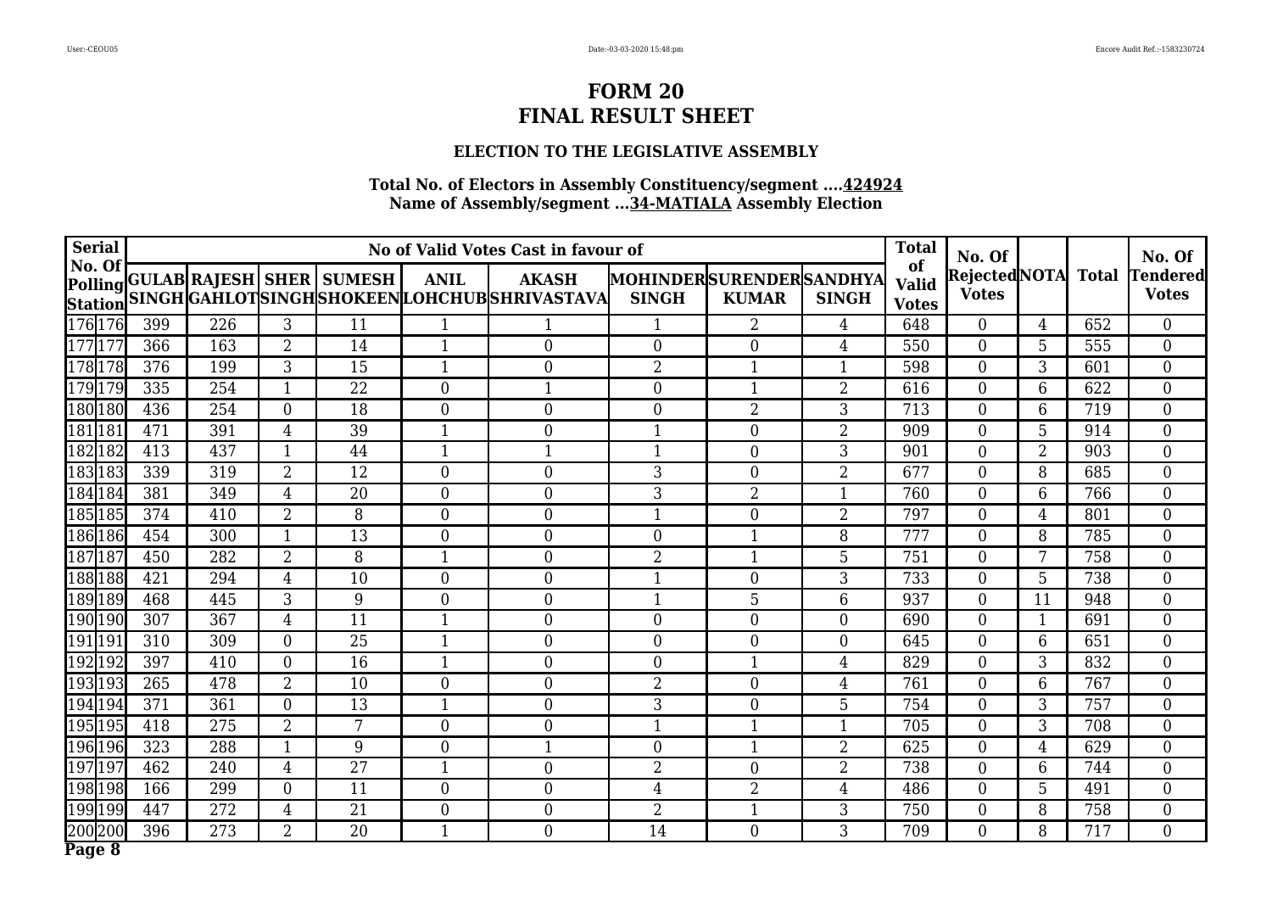## **ELECTION TO THE LEGISLATIVE ASSEMBLY**

| <b>Serial</b>            |     |                  |                |                                  |                  | No of Valid Votes Cast in favour of                            |                                                |                  |                | <b>Total</b>                       | No. Of                             |                 |     | No. Of                   |
|--------------------------|-----|------------------|----------------|----------------------------------|------------------|----------------------------------------------------------------|------------------------------------------------|------------------|----------------|------------------------------------|------------------------------------|-----------------|-----|--------------------------|
| No. Of<br><b>Station</b> |     |                  |                | Polling GULAB RAJESH SHER SUMESH | <b>ANIL</b>      | <b>AKASH</b><br>SINGH GAHLOT SINGH SHOKEEN LOHCHUB SHRIVASTAVA | <b>MOHINDERSURENDERSANDHYA</b><br><b>SINGH</b> | <b>KUMAR</b>     | <b>SINGH</b>   | of<br><b>Valid</b><br><b>Votes</b> | RejectedNOTA Total<br><b>Votes</b> |                 |     | Tendered<br><b>Votes</b> |
| 176176                   | 399 | 226              | 3              | 11                               | $\mathbf{1}$     |                                                                | -1                                             | $\overline{2}$   | $\overline{4}$ | 648                                | $\overline{0}$                     | $\overline{4}$  | 652 | $\overline{0}$           |
| 177177                   | 366 | 163              | $\overline{2}$ | 14                               | $\mathbf{1}$     | $\overline{0}$                                                 | $\theta$                                       | $\overline{0}$   | $\overline{4}$ | 550                                | $\overline{0}$                     | 5               | 555 | $\overline{0}$           |
| 178178                   | 376 | 199              | 3              | 15                               | $\mathbf{1}$     | $\boldsymbol{0}$                                               | $\overline{2}$                                 | $\mathbf{1}$     | $\mathbf{1}$   | 598                                | $\boldsymbol{0}$                   | 3               | 601 | $\boldsymbol{0}$         |
| 179179                   | 335 | 254              | $\mathbf{1}$   | $\overline{22}$                  | $\theta$         | $\mathbf{1}$                                                   | $\theta$                                       | $\mathbf{1}$     | $\overline{2}$ | 616                                | $\overline{0}$                     | 6               | 622 | $\overline{0}$           |
| 180180                   | 436 | 254              | $\overline{0}$ | 18                               | $\theta$         | $\overline{0}$                                                 | $\mathbf{0}$                                   | $\overline{2}$   | 3              | 713                                | $\boldsymbol{0}$                   | 6               | 719 | $\overline{0}$           |
| 181181                   | 471 | 391              | $\overline{4}$ | 39                               | $\mathbf{1}$     | $\overline{0}$                                                 | $\mathbf{1}$                                   | $\boldsymbol{0}$ | $\overline{2}$ | 909                                | $\overline{0}$                     | 5               | 914 | $\boldsymbol{0}$         |
| 182182                   | 413 | 437              | $\mathbf{1}$   | 44                               | $\mathbf{1}$     | $\mathbf{1}$                                                   | $\mathbf{1}$                                   | $\boldsymbol{0}$ | 3              | 901                                | $\overline{0}$                     | $\overline{2}$  | 903 | $\boldsymbol{0}$         |
| 183183                   | 339 | 319              | $\overline{2}$ | 12                               | $\overline{0}$   | $\theta$                                                       | 3                                              | $\overline{0}$   | $\overline{2}$ | 677                                | $\overline{0}$                     | 8               | 685 | $\boldsymbol{0}$         |
| 184184                   | 381 | 349              | $\overline{4}$ | 20                               | $\theta$         | $\mathbf{0}$                                                   | 3                                              | $\overline{2}$   |                | 760                                | $\overline{0}$                     | 6               | 766 | $\boldsymbol{0}$         |
| 185185                   | 374 | 410              | $\overline{2}$ | 8                                | $\overline{0}$   | $\mathbf{0}$                                                   | $\mathbf{1}$                                   | $\overline{0}$   | $\overline{2}$ | 797                                | $\overline{0}$                     | $\overline{4}$  | 801 | $\overline{0}$           |
| 186186                   | 454 | 300              | $\mathbf 1$    | 13                               | $\overline{0}$   | $\overline{0}$                                                 | $\overline{0}$                                 | $\mathbf 1$      | 8              | 777                                | $\overline{0}$                     | 8               | 785 | $\overline{0}$           |
| 187187                   | 450 | $\overline{282}$ | $\overline{2}$ | 8                                |                  | $\theta$                                                       | $\overline{2}$                                 | $\mathbf{1}$     | 5              | 751                                | $\overline{0}$                     | $\overline{7}$  | 758 | $\overline{0}$           |
| 188188                   | 421 | 294              | 4              | 10                               | $\overline{0}$   | $\overline{0}$                                                 | 1                                              | $\overline{0}$   | 3              | 733                                | $\overline{0}$                     | 5               | 738 | $\overline{0}$           |
| 189189                   | 468 | 445              | 3              | 9                                | $\boldsymbol{0}$ | $\boldsymbol{0}$                                               | $\mathbf{1}$                                   | 5                | 6              | 937                                | $\boldsymbol{0}$                   | 11              | 948 | $\boldsymbol{0}$         |
| 190190                   | 307 | 367              | $\overline{4}$ | 11                               | $\mathbf{1}$     | $\boldsymbol{0}$                                               | $\overline{0}$                                 | $\overline{0}$   | $\overline{0}$ | 690                                | $\overline{0}$                     | $\mathbf{1}$    | 691 | $\overline{0}$           |
| 191191                   | 310 | 309              | $\overline{0}$ | $\overline{25}$                  |                  | $\mathbf{0}$                                                   | $\theta$                                       | $\overline{0}$   | $\overline{0}$ | 645                                | $\overline{0}$                     | $6\phantom{1}$  | 651 | $\overline{0}$           |
| 192192                   | 397 | 410              | $\overline{0}$ | 16                               | 1                | $\boldsymbol{0}$                                               | $\mathbf{0}$                                   |                  | $\overline{4}$ | 829                                | $\overline{0}$                     | 3               | 832 | $\boldsymbol{0}$         |
| 193193                   | 265 | 478              | $\overline{2}$ | 10                               | $\boldsymbol{0}$ | $\boldsymbol{0}$                                               | $\overline{2}$                                 | $\boldsymbol{0}$ | $\overline{4}$ | 761                                | $\boldsymbol{0}$                   | $6\phantom{.}6$ | 767 | $\boldsymbol{0}$         |
| 194194                   | 371 | 361              | $\overline{0}$ | 13                               | $\mathbf{1}$     | $\boldsymbol{0}$                                               | 3 <sup>1</sup>                                 | $\boldsymbol{0}$ | 5              | 754                                | $\overline{0}$                     | 3               | 757 | $\overline{0}$           |
| 195195                   | 418 | 275              | $\overline{2}$ | 7                                | $\overline{0}$   | $\mathbf{0}$                                                   | 1                                              | 1                | 1              | 705                                | $\boldsymbol{0}$                   | 3               | 708 | $\boldsymbol{0}$         |
| 196196                   | 323 | 288              | $\mathbf 1$    | 9                                | $\overline{0}$   | $\mathbf{1}$                                                   | $\overline{0}$                                 | 1                | $\overline{2}$ | 625                                | $\overline{0}$                     | $\overline{4}$  | 629 | $\overline{0}$           |
| 197197                   | 462 | 240              | $\overline{4}$ | 27                               | $\mathbf{1}$     | $\boldsymbol{0}$                                               | $\overline{2}$                                 | $\boldsymbol{0}$ | $\overline{2}$ | 738                                | $\boldsymbol{0}$                   | 6               | 744 | $\overline{0}$           |
| 198198                   | 166 | 299              | $\overline{0}$ | 11                               | $\overline{0}$   | $\boldsymbol{0}$                                               | $\overline{4}$                                 | $\overline{2}$   | $\overline{4}$ | 486                                | $\overline{0}$                     | 5               | 491 | $\overline{0}$           |
| 199199                   | 447 | 272              | $\overline{4}$ | 21                               | $\boldsymbol{0}$ | $\boldsymbol{0}$                                               | $\overline{2}$                                 | $\mathbf{1}$     | 3              | 750                                | $\boldsymbol{0}$                   | 8               | 758 | $\boldsymbol{0}$         |
| 200200                   | 396 | 273              | $\overline{2}$ | 20                               | $\mathbf{1}$     | $\overline{0}$                                                 | 14                                             | $\overline{0}$   | 3              | 709                                | $\overline{0}$                     | 8               | 717 | $\overline{0}$           |
| Page 8                   |     |                  |                |                                  |                  |                                                                |                                                |                  |                |                                    |                                    |                 |     |                          |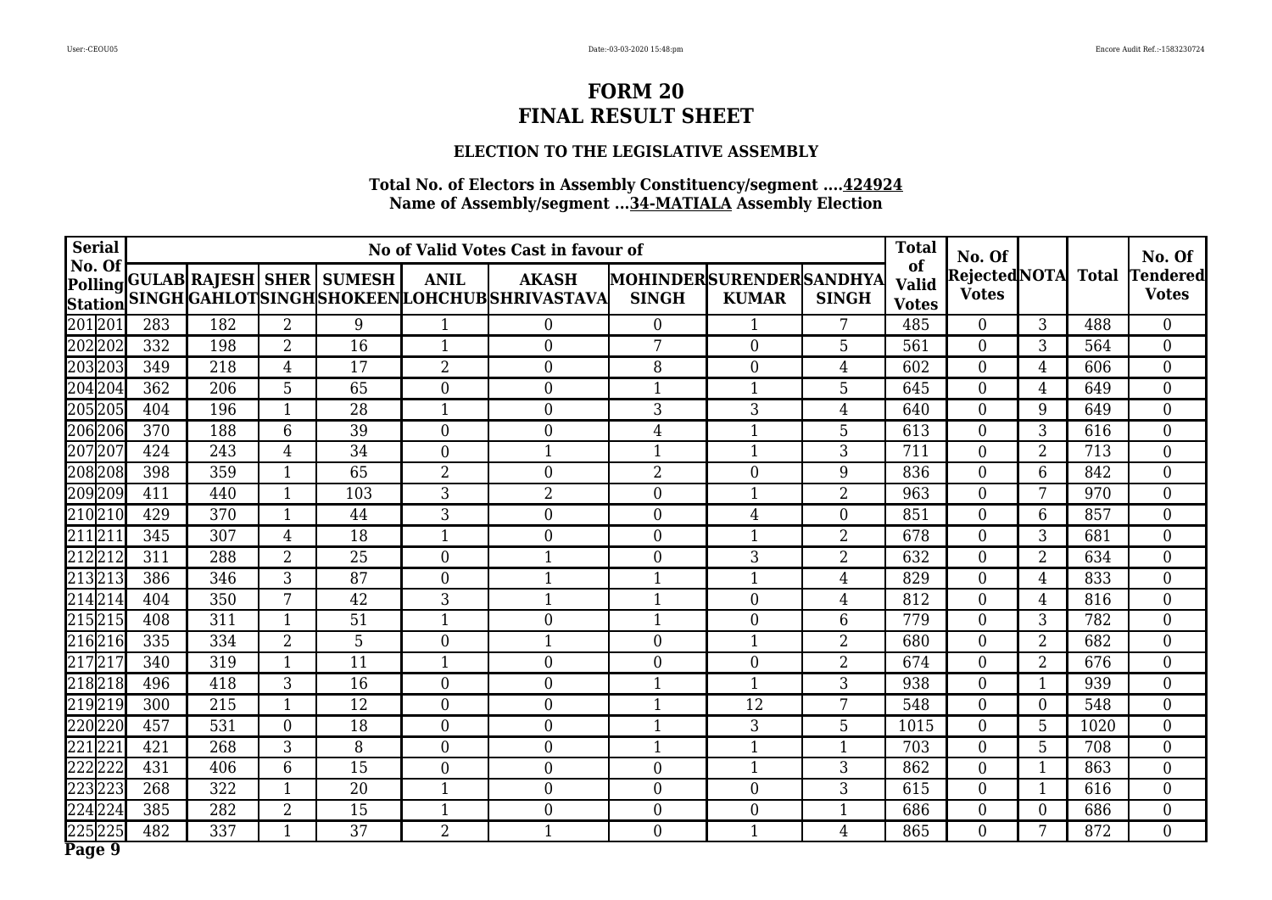## **ELECTION TO THE LEGISLATIVE ASSEMBLY**

| <b>Serial</b>            |     |     |                  |                                  |                  | No of Valid Votes Cast in favour of                            |                                         |                  |                | <b>Total</b>                       | No. Of                             |                  |      | No. Of                          |
|--------------------------|-----|-----|------------------|----------------------------------|------------------|----------------------------------------------------------------|-----------------------------------------|------------------|----------------|------------------------------------|------------------------------------|------------------|------|---------------------------------|
| No. Of<br><b>Station</b> |     |     |                  | Polling GULAB RAJESH SHER SUMESH | <b>ANIL</b>      | <b>AKASH</b><br>SINGH GAHLOT SINGH SHOKEEN LOHCHUB SHRIVASTAVA | MOHINDERSURENDERSANDHYA<br><b>SINGH</b> | <b>KUMAR</b>     | <b>SINGH</b>   | of<br><b>Valid</b><br><b>Votes</b> | RejectedNOTA Total<br><b>Votes</b> |                  |      | <b>Tendered</b><br><b>Votes</b> |
| 201201                   | 283 | 182 | $\overline{2}$   | 9                                | $\mathbf{1}$     | $\overline{0}$                                                 | $\overline{0}$                          |                  | 7              | 485                                | $\overline{0}$                     | 3                | 488  | $\overline{0}$                  |
| 202202                   | 332 | 198 | $\overline{2}$   | 16                               | $\mathbf{1}$     | $\mathbf{0}$                                                   | 7                                       | $\overline{0}$   | 5              | 561                                | $\overline{0}$                     | 3                | 564  | $\overline{0}$                  |
| 203203                   | 349 | 218 | $\overline{4}$   | $1\overline{7}$                  | $\overline{2}$   | $\mathbf{0}$                                                   | 8                                       | $\overline{0}$   | $\overline{4}$ | 602                                | $\boldsymbol{0}$                   | 4                | 606  | $\overline{0}$                  |
| 204204                   | 362 | 206 | 5                | 65                               | $\overline{0}$   | $\mathbf{0}$                                                   | $\mathbf{1}$                            | 1                | 5              | 645                                | $\overline{0}$                     | $\overline{4}$   | 649  | $\overline{0}$                  |
| 205205                   | 404 | 196 | $\mathbf{1}$     | 28                               | $\mathbf{1}$     | $\mathbf{0}$                                                   | 3                                       | 3                | $\overline{4}$ | 640                                | $\overline{0}$                     | 9                | 649  | $\overline{0}$                  |
| 206206                   | 370 | 188 | 6                | 39                               | $\overline{0}$   | $\overline{0}$                                                 | 4                                       | $\mathbf{1}$     | 5              | 613                                | $\overline{0}$                     | 3                | 616  | $\boldsymbol{0}$                |
| 207207                   | 424 | 243 | $\overline{4}$   | 34                               | $\overline{0}$   | $\mathbf{1}$                                                   | $\mathbf{1}$                            | $\mathbf{1}$     | 3              | 711                                | $\overline{0}$                     | $\overline{2}$   | 713  | $\overline{0}$                  |
| 208208                   | 398 | 359 | $\mathbf{1}$     | 65                               | $\overline{2}$   | $\overline{0}$                                                 | 2                                       | $\overline{0}$   | 9              | 836                                | $\overline{0}$                     | 6                | 842  | $\boldsymbol{0}$                |
| 209209                   | 411 | 440 | $\mathbf 1$      | 103                              | 3                | $\overline{2}$                                                 | $\overline{0}$                          | 1                | $\overline{2}$ | 963                                | $\overline{0}$                     |                  | 970  | $\boldsymbol{0}$                |
| 210210                   | 429 | 370 | $\mathbf{1}$     | 44                               | $\overline{3}$   | $\overline{0}$                                                 | $\overline{0}$                          | $\overline{4}$   | $\overline{0}$ | 851                                | $\overline{0}$                     | 6                | 857  | $\overline{0}$                  |
| 211211                   | 345 | 307 | 4                | 18                               | 1                | $\overline{0}$                                                 | $\overline{0}$                          | $\mathbf 1$      | $\overline{2}$ | 678                                | $\overline{0}$                     | 3                | 681  | $\overline{0}$                  |
| 212212                   | 311 | 288 | $\overline{2}$   | $\overline{25}$                  | $\theta$         | $\mathbf{1}$                                                   | $\theta$                                | 3                | $\overline{2}$ | $\overline{632}$                   | $\overline{0}$                     | $\overline{2}$   | 634  | $\overline{0}$                  |
| 213213                   | 386 | 346 | 3                | 87                               | $\theta$         | $\mathbf{1}$                                                   | 1                                       | 1                | $\overline{4}$ | 829                                | $\overline{0}$                     | $\overline{4}$   | 833  | $\boldsymbol{0}$                |
| 214214                   | 404 | 350 | 7                | 42                               | 3                | $\mathbf{1}$                                                   | $\mathbf{1}$                            | $\overline{0}$   | $\overline{4}$ | 812                                | $\boldsymbol{0}$                   | $\overline{4}$   | 816  | $\overline{0}$                  |
| 215215                   | 408 | 311 | $\mathbf{1}$     | 51                               | $\mathbf{1}$     | $\mathbf{0}$                                                   | 1                                       | $\boldsymbol{0}$ | 6              | 779                                | $\boldsymbol{0}$                   | 3                | 782  | $\overline{0}$                  |
| 216216                   | 335 | 334 | $\overline{2}$   | 5                                | $\overline{0}$   | $\mathbf{1}$                                                   | $\theta$                                |                  | $\overline{2}$ | 680                                | $\overline{0}$                     | $\overline{2}$   | 682  | $\overline{0}$                  |
| 217217                   | 340 | 319 | -1               | 11                               | $\mathbf{1}$     | $\mathbf{0}$                                                   | $\overline{0}$                          | $\overline{0}$   | 2              | 674                                | $\overline{0}$                     | $\overline{2}$   | 676  | $\overline{0}$                  |
| 218218                   | 496 | 418 | 3                | 16                               | $\boldsymbol{0}$ | $\mathbf{0}$                                                   | $\mathbf{1}$                            | 1                | 3              | 938                                | $\boldsymbol{0}$                   | 1                | 939  | $\overline{0}$                  |
| 219219                   | 300 | 215 | $\mathbf{1}$     | 12                               | $\overline{0}$   | $\boldsymbol{0}$                                               | 1                                       | 12               | 7              | 548                                | $\overline{0}$                     | $\overline{0}$   | 548  | $\overline{0}$                  |
| 220220                   | 457 | 531 | $\boldsymbol{0}$ | 18                               | $\overline{0}$   | $\mathbf{0}$                                                   | 1                                       | 3                | 5              | 1015                               | $\boldsymbol{0}$                   | $5\phantom{.}$   | 1020 | $\overline{0}$                  |
| 221221                   | 421 | 268 | 3                | 8                                | $\overline{0}$   | $\boldsymbol{0}$                                               | $\mathbf{1}$                            | 1                | 1              | 703                                | $\overline{0}$                     | $5\phantom{.}$   | 708  | $\overline{0}$                  |
| 222222                   | 431 | 406 | 6                | 15                               | $\boldsymbol{0}$ | $\boldsymbol{0}$                                               | $\overline{0}$                          | $\mathbf{1}$     | 3              | 862                                | $\boldsymbol{0}$                   | 1                | 863  | $\boldsymbol{0}$                |
| 223223                   | 268 | 322 | $\mathbf{1}$     | 20                               | $\mathbf{1}$     | $\mathbf{0}$                                                   | $\overline{0}$                          | $\overline{0}$   | 3              | 615                                | $\overline{0}$                     | $\mathbf{1}$     | 616  | $\overline{0}$                  |
| 224224                   | 385 | 282 | $\overline{2}$   | 15                               | $\mathbf{1}$     | $\boldsymbol{0}$                                               | $\overline{0}$                          | $\boldsymbol{0}$ |                | 686                                | $\boldsymbol{0}$                   | $\boldsymbol{0}$ | 686  | $\overline{0}$                  |
| 225225                   | 482 | 337 | $\mathbf{1}$     | 37                               | $\overline{2}$   | $\mathbf{1}$                                                   | $\overline{0}$                          | $\mathbf{1}$     | $\overline{4}$ | 865                                | $\overline{0}$                     | 7                | 872  | $\overline{0}$                  |
| Page 9                   |     |     |                  |                                  |                  |                                                                |                                         |                  |                |                                    |                                    |                  |      |                                 |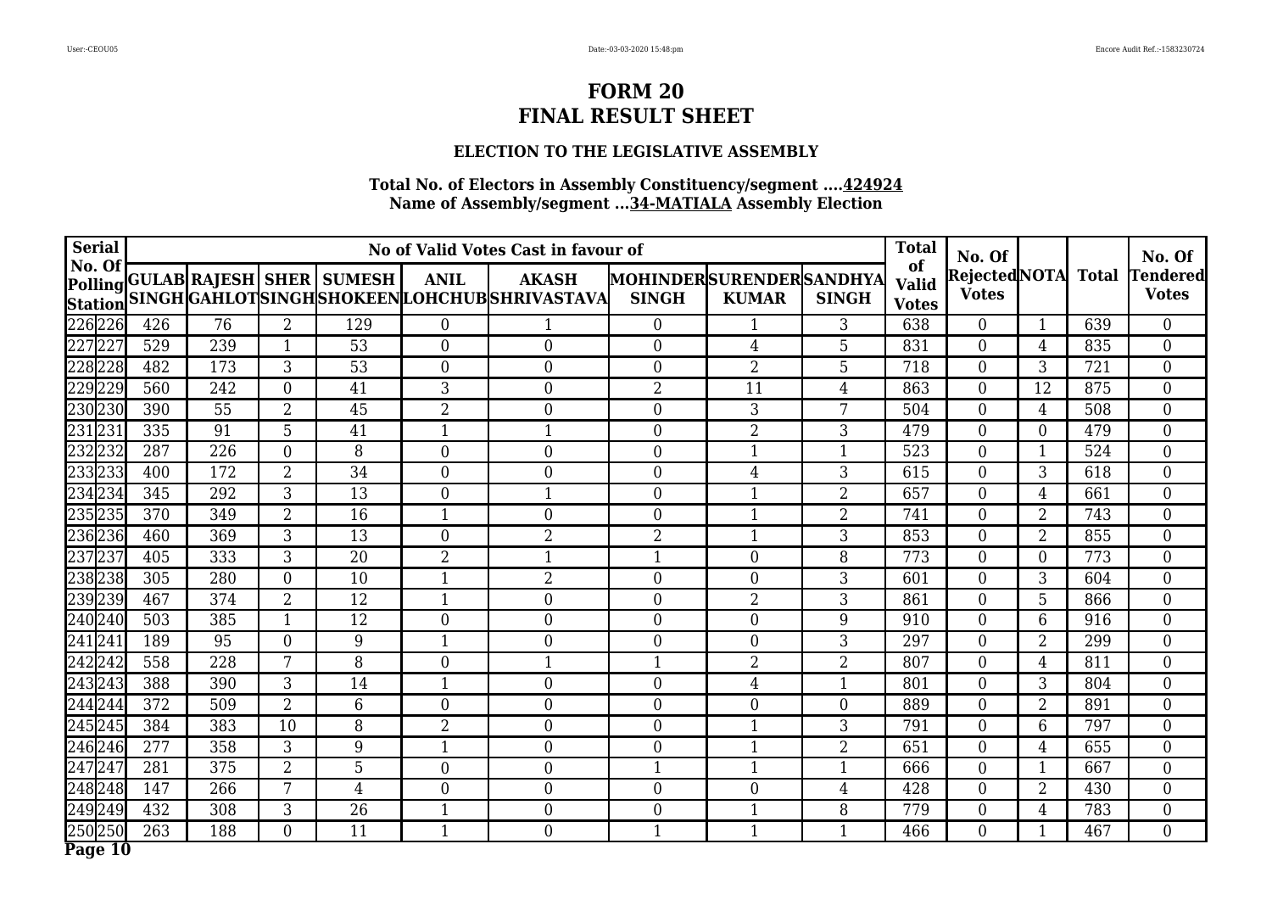## **ELECTION TO THE LEGISLATIVE ASSEMBLY**

| <b>Serial</b>            |     |     |                |                                  |                  | No of Valid Votes Cast in favour of                           |                                         |                  |                | <b>Total</b>                       | No. Of                       |                |              | No. Of                          |
|--------------------------|-----|-----|----------------|----------------------------------|------------------|---------------------------------------------------------------|-----------------------------------------|------------------|----------------|------------------------------------|------------------------------|----------------|--------------|---------------------------------|
| No. Of<br><b>Station</b> |     |     |                | Polling GULAB RAJESH SHER SUMESH | <b>ANIL</b>      | <b>AKASH</b><br>SINGH GAHLOTSINGH SHOKEEN LOHCHUB SHRIVASTAVA | MOHINDERSURENDERSANDHYA<br><b>SINGH</b> | <b>KUMAR</b>     | <b>SINGH</b>   | of<br><b>Valid</b><br><b>Votes</b> | RejectedNOTA<br><b>Votes</b> |                | <b>Total</b> | <b>Tendered</b><br><b>Votes</b> |
| 226226                   | 426 | 76  | $\overline{2}$ | 129                              | $\overline{0}$   |                                                               | $\overline{0}$                          |                  | 3              | 638                                | $\overline{0}$               | $\mathbf{1}$   | 639          | $\overline{0}$                  |
| 227227                   | 529 | 239 | $\mathbf{1}$   | 53                               | $\overline{0}$   | $\boldsymbol{0}$                                              | $\overline{0}$                          | 4                | 5              | 831                                | $\overline{0}$               | $\overline{4}$ | 835          | $\boldsymbol{0}$                |
| 228228                   | 482 | 173 | 3              | 53                               | $\boldsymbol{0}$ | $\boldsymbol{0}$                                              | $\overline{0}$                          | $\overline{2}$   | 5              | 718                                | $\boldsymbol{0}$             | 3              | 721          | $\boldsymbol{0}$                |
| 229229                   | 560 | 242 | $\overline{0}$ | 41                               | 3                | $\mathbf{0}$                                                  | $\overline{2}$                          | 11               | $\overline{4}$ | 863                                | $\overline{0}$               | 12             | 875          | $\overline{0}$                  |
| 230230                   | 390 | 55  | $\overline{2}$ | 45                               | $\overline{2}$   | $\mathbf{0}$                                                  | $\overline{0}$                          | 3                | 7              | 504                                | $\boldsymbol{0}$             | 4              | 508          | $\boldsymbol{0}$                |
| 231231                   | 335 | 91  | 5              | 41                               | $\mathbf{1}$     | $\mathbf{1}$                                                  | $\overline{0}$                          | $\overline{2}$   | 3              | 479                                | $\overline{0}$               | $\overline{0}$ | 479          | $\boldsymbol{0}$                |
| 232232                   | 287 | 226 | $\theta$       | 8                                | $\theta$         | $\mathbf{0}$                                                  | $\overline{0}$                          | 1                | $\mathbf{1}$   | 523                                | $\overline{0}$               |                | 524          | $\boldsymbol{0}$                |
| 233233                   | 400 | 172 | $\overline{2}$ | $\overline{34}$                  | $\theta$         | $\theta$                                                      | $\theta$                                | $\overline{4}$   | 3              | 615                                | $\overline{0}$               | 3              | 618          | $\overline{0}$                  |
| 234234                   | 345 | 292 | $\overline{3}$ | 13                               | $\theta$         | $\mathbf 1$                                                   | $\overline{0}$                          | 1                | $\overline{2}$ | 657                                | $\overline{0}$               | 4              | 661          | $\boldsymbol{0}$                |
| 235235                   | 370 | 349 | $\overline{2}$ | 16                               | $\mathbf{1}$     | $\overline{0}$                                                | $\overline{0}$                          | $\mathbf{1}$     | $\overline{2}$ | 741                                | $\overline{0}$               | $\overline{2}$ | 743          | $\boldsymbol{0}$                |
| 236236                   | 460 | 369 | 3              | 13                               | $\Omega$         | $\overline{2}$                                                | $\overline{2}$                          | 1                | 3              | 853                                | $\overline{0}$               | $\overline{2}$ | 855          | $\boldsymbol{0}$                |
| 237237                   | 405 | 333 | 3              | $\overline{20}$                  | $\overline{2}$   | $\mathbf{1}$                                                  | 1                                       | $\overline{0}$   | 8              | 773                                | $\overline{0}$               | $\overline{0}$ | 773          | $\overline{0}$                  |
| 238238                   | 305 | 280 | $\mathbf{0}$   | 10                               |                  | $\overline{2}$                                                | $\overline{0}$                          | $\overline{0}$   | 3              | 601                                | $\overline{0}$               | 3              | 604          | $\boldsymbol{0}$                |
| 239239                   | 467 | 374 | $\overline{2}$ | 12                               | $\mathbf{1}$     | $\boldsymbol{0}$                                              | $\boldsymbol{0}$                        | $\overline{2}$   | 3              | 861                                | $\boldsymbol{0}$             | 5              | 866          | $\boldsymbol{0}$                |
| 240240                   | 503 | 385 | $\mathbf{1}$   | 12                               | $\boldsymbol{0}$ | $\boldsymbol{0}$                                              | $\boldsymbol{0}$                        | $\boldsymbol{0}$ | 9              | 910                                | $\boldsymbol{0}$             | $6\phantom{1}$ | 916          | $\boldsymbol{0}$                |
| 241241                   | 189 | 95  | $\mathbf{0}$   | 9                                | $\mathbf{1}$     | $\mathbf{0}$                                                  | $\overline{0}$                          | $\boldsymbol{0}$ | 3              | 297                                | $\overline{0}$               | $\overline{2}$ | 299          | $\boldsymbol{0}$                |
| 242242                   | 558 | 228 | 7              | 8                                | $\overline{0}$   | 1                                                             | 1                                       | $\overline{2}$   | $\overline{2}$ | 807                                | $\overline{0}$               | $\overline{4}$ | 811          | $\overline{0}$                  |
| 243243                   | 388 | 390 | 3              | 14                               | $\mathbf{1}$     | $\mathbf{0}$                                                  | $\overline{0}$                          | $\overline{4}$   | $\mathbf{1}$   | 801                                | $\boldsymbol{0}$             | 3              | 804          | $\overline{0}$                  |
| 244244                   | 372 | 509 | $\overline{2}$ | 6                                | $\overline{0}$   | $\mathbf{0}$                                                  | $\overline{0}$                          | $\overline{0}$   | $\theta$       | 889                                | $\overline{0}$               | $\overline{2}$ | 891          | $\overline{0}$                  |
| 245245                   | 384 | 383 | 10             | 8                                | $\overline{2}$   | $\mathbf{0}$                                                  | $\overline{0}$                          | 1                | 3              | 791                                | $\overline{0}$               | 6              | 797          | $\overline{0}$                  |
| 246246                   | 277 | 358 | 3              | 9                                | $\mathbf{1}$     | $\boldsymbol{0}$                                              | $\overline{0}$                          | 1                | 2              | 651                                | $\overline{0}$               | $\overline{4}$ | 655          | $\overline{0}$                  |
| 247247                   | 281 | 375 | $\overline{2}$ | $\overline{5}$                   | $\boldsymbol{0}$ | $\boldsymbol{0}$                                              | $\mathbf{1}$                            | 1                | $\mathbf{1}$   | 666                                | $\overline{0}$               | 1              | 667          | $\boldsymbol{0}$                |
| 248248                   | 147 | 266 | 7              | $\overline{4}$                   | $\overline{0}$   | $\mathbf{0}$                                                  | $\overline{0}$                          | $\overline{0}$   | $\overline{4}$ | 428                                | $\overline{0}$               | 2              | 430          | $\overline{0}$                  |
| 249249                   | 432 | 308 | 3              | 26                               | $\mathbf{1}$     | $\boldsymbol{0}$                                              | $\overline{0}$                          | 1                | 8              | 779                                | $\boldsymbol{0}$             | $\overline{4}$ | 783          | $\overline{0}$                  |
| 250250                   | 263 | 188 | $\overline{0}$ | 11                               | $\mathbf{1}$     | $\boldsymbol{0}$                                              | $\mathbf{1}$                            | $\mathbf{1}$     | $\mathbf{1}$   | 466                                | $\boldsymbol{0}$             | $\mathbf{1}$   | 467          | $\overline{0}$                  |
| Page 10                  |     |     |                |                                  |                  |                                                               |                                         |                  |                |                                    |                              |                |              |                                 |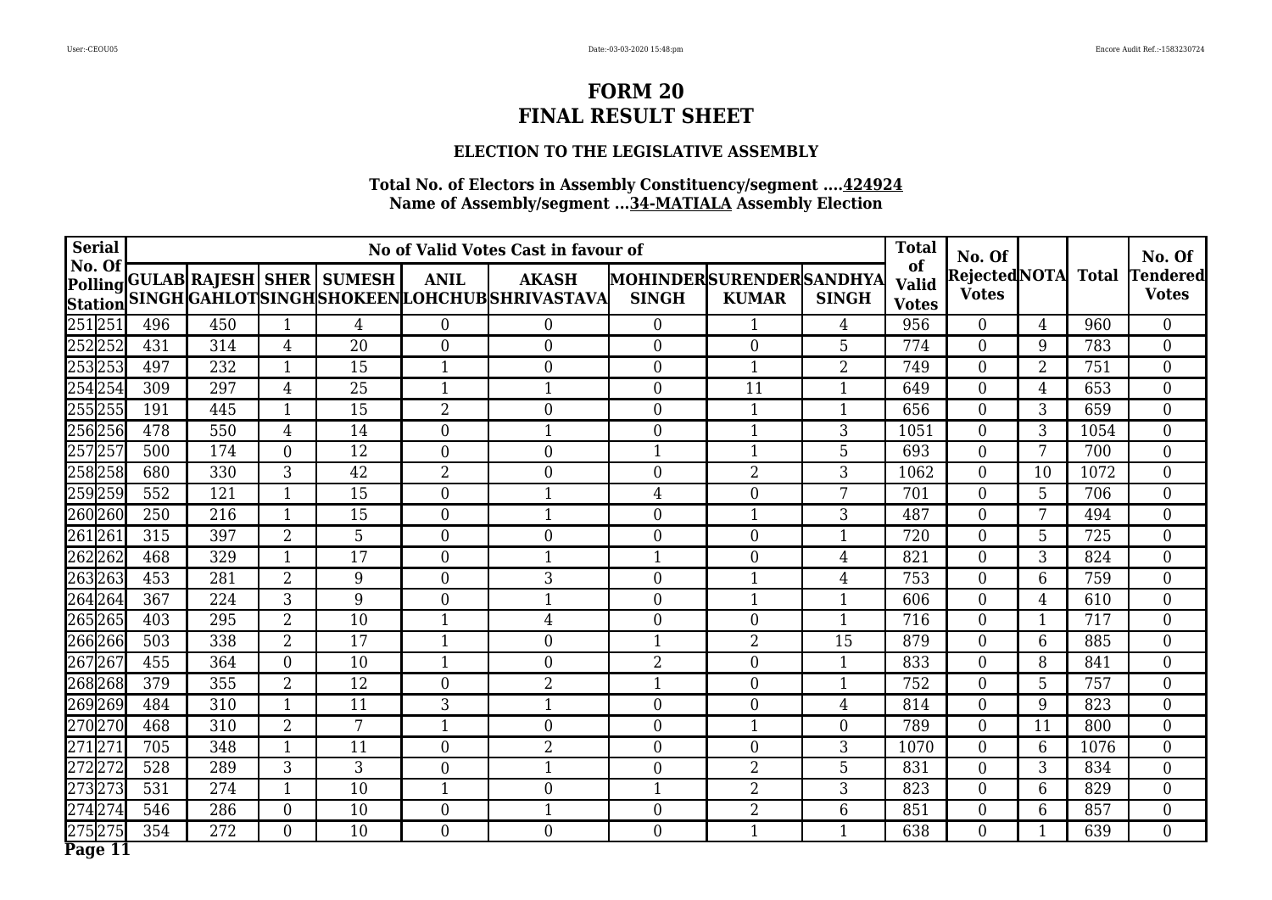## **ELECTION TO THE LEGISLATIVE ASSEMBLY**

| <b>Serial</b>            |     |     |                |                                  |                  | No of Valid Votes Cast in favour of                            |                                         |                  |                | <b>Total</b>                       | No. Of                        |                |              | No. Of                          |
|--------------------------|-----|-----|----------------|----------------------------------|------------------|----------------------------------------------------------------|-----------------------------------------|------------------|----------------|------------------------------------|-------------------------------|----------------|--------------|---------------------------------|
| No. Of<br><b>Station</b> |     |     |                | Polling GULAB RAJESH SHER SUMESH | <b>ANIL</b>      | <b>AKASH</b><br>SINGH GAHLOT SINGH SHOKEEN LOHCHUB SHRIVASTAVA | MOHINDERSURENDERSANDHYA<br><b>SINGH</b> | <b>KUMAR</b>     | <b>SINGH</b>   | of<br><b>Valid</b><br><b>Votes</b> | Rejected NOTA<br><b>Votes</b> |                | <b>Total</b> | <b>Tendered</b><br><b>Votes</b> |
| 251251                   | 496 | 450 | $\mathbf 1$    | $\overline{4}$                   | $\overline{0}$   | $\overline{0}$                                                 | $\overline{0}$                          |                  | $\overline{4}$ | 956                                | $\overline{0}$                | $\overline{4}$ | 960          | $\overline{0}$                  |
| 252252                   | 431 | 314 | $\overline{4}$ | 20                               | $\overline{0}$   | $\boldsymbol{0}$                                               | $\overline{0}$                          | $\overline{0}$   | 5              | 774                                | $\overline{0}$                | 9              | 783          | $\overline{0}$                  |
| 253253                   | 497 | 232 | $\mathbf{1}$   | 15                               | $\mathbf{1}$     | $\boldsymbol{0}$                                               | $\overline{0}$                          | $\mathbf{1}$     | $\overline{2}$ | 749                                | $\boldsymbol{0}$              | $\overline{2}$ | 751          | $\boldsymbol{0}$                |
| 254254                   | 309 | 297 | $\overline{4}$ | 25                               | $\mathbf{1}$     | $\mathbf{1}$                                                   | $\theta$                                | 11               | $\mathbf{1}$   | 649                                | $\overline{0}$                | $\overline{4}$ | 653          | $\overline{0}$                  |
| 255255                   | 191 | 445 | $\mathbf 1$    | 15                               | $\overline{2}$   | $\boldsymbol{0}$                                               | $\overline{0}$                          | 1                |                | 656                                | $\overline{0}$                | 3              | 659          | $\boldsymbol{0}$                |
| 256256                   | 478 | 550 | $\overline{4}$ | 14                               | $\overline{0}$   | $\mathbf{1}$                                                   | $\mathbf{0}$                            | $\mathbf{1}$     | 3              | 1051                               | $\overline{0}$                | 3              | 1054         | $\overline{0}$                  |
| 257257                   | 500 | 174 | $\theta$       | 12                               | $\theta$         | $\overline{0}$                                                 | 1                                       | $\mathbf{1}$     | 5              | 693                                | $\overline{0}$                | 7              | 700          | $\overline{0}$                  |
| 258258                   | 680 | 330 | 3              | $\overline{42}$                  | $\overline{2}$   | $\theta$                                                       | $\theta$                                | $\overline{2}$   | 3              | 1062                               | $\overline{0}$                | 10             | 1072         | $\overline{0}$                  |
| 259259                   | 552 | 121 | $\mathbf 1$    | 15                               | $\theta$         | $\mathbf 1$                                                    | 4                                       | $\overline{0}$   | 7              | 701                                | $\overline{0}$                | 5              | 706          | $\overline{0}$                  |
| 260260                   | 250 | 216 | $\mathbf 1$    | 15                               | $\overline{0}$   | $\mathbf{1}$                                                   | $\overline{0}$                          | $\mathbf 1$      | 3              | 487                                | $\overline{0}$                | 7              | 494          | $\boldsymbol{0}$                |
| 261261                   | 315 | 397 | $\overline{2}$ | 5                                | $\overline{0}$   | $\overline{0}$                                                 | $\overline{0}$                          | $\overline{0}$   |                | 720                                | 0                             | 5              | 725          | $\overline{0}$                  |
| 262262                   | 468 | 329 | $\mathbf 1$    | 17                               | $\theta$         | $\mathbf 1$                                                    | $\mathbf 1$                             | $\overline{0}$   | 4              | 821                                | $\overline{0}$                | 3              | 824          | $\overline{0}$                  |
| 263263                   | 453 | 281 | $\overline{2}$ | 9                                | $\Omega$         | 3                                                              | $\overline{0}$                          |                  | 4              | 753                                | 0                             | 6              | 759          | $\boldsymbol{0}$                |
| 264264                   | 367 | 224 | 3              | 9                                | $\boldsymbol{0}$ | $\mathbf{1}$                                                   | $\boldsymbol{0}$                        | $\mathbf{1}$     |                | 606                                | $\boldsymbol{0}$              | $\overline{4}$ | 610          | $\boldsymbol{0}$                |
| 265265                   | 403 | 295 | $\overline{2}$ | 10                               | $\mathbf{1}$     | $\overline{4}$                                                 | $\boldsymbol{0}$                        | $\boldsymbol{0}$ | 1              | 716                                | $\boldsymbol{0}$              | $\mathbf{1}$   | 717          | $\overline{0}$                  |
| 266266                   | 503 | 338 | $\overline{2}$ | 17                               | $\mathbf{1}$     | $\mathbf{0}$                                                   | $\mathbf{1}$                            | $\overline{2}$   | 15             | 879                                | $\overline{0}$                | 6              | 885          | $\boldsymbol{0}$                |
| 267267                   | 455 | 364 | $\overline{0}$ | 10                               | 1                | $\boldsymbol{0}$                                               | $\overline{2}$                          | $\overline{0}$   |                | 833                                | $\overline{0}$                | 8              | 841          | $\boldsymbol{0}$                |
| 268268                   | 379 | 355 | $\overline{2}$ | 12                               | $\boldsymbol{0}$ | $\overline{2}$                                                 | 1                                       | $\boldsymbol{0}$ |                | 752                                | $\boldsymbol{0}$              | 5              | 757          | $\overline{0}$                  |
| 269269                   | 484 | 310 | $\mathbf{1}$   | 11                               | 3                | $\mathbf{1}$                                                   | $\overline{0}$                          | $\boldsymbol{0}$ | $\overline{4}$ | 814                                | $\overline{0}$                | 9              | 823          | $\overline{0}$                  |
| 270270                   | 468 | 310 | $\overline{2}$ | 7                                | $\mathbf{1}$     | $\boldsymbol{0}$                                               | $\mathbf{0}$                            | $\mathbf{1}$     | $\overline{0}$ | 789                                | $\boldsymbol{0}$              | 11             | 800          | $\boldsymbol{0}$                |
| 271271                   | 705 | 348 | $\mathbf 1$    | 11                               | $\overline{0}$   | $\overline{2}$                                                 | $\overline{0}$                          | $\overline{0}$   | 3              | 1070                               | $\overline{0}$                | 6              | 1076         | $\overline{0}$                  |
| 272272                   | 528 | 289 | $\overline{3}$ | $\overline{3}$                   | $\overline{0}$   | $\mathbf{1}$                                                   | $\overline{0}$                          | $\overline{2}$   | 5              | 831                                | $\boldsymbol{0}$              | 3              | 834          | $\overline{0}$                  |
| 273273                   | 531 | 274 | $\mathbf{1}$   | 10                               | $\mathbf{1}$     | $\mathbf{0}$                                                   | $\mathbf{1}$                            | $\overline{2}$   | 3              | 823                                | $\overline{0}$                | 6              | 829          | $\overline{0}$                  |
| 274274                   | 546 | 286 | $\mathbf{0}$   | 10                               | $\boldsymbol{0}$ | 1                                                              | $\theta$                                | $\overline{2}$   | 6              | 851                                | $\boldsymbol{0}$              | 6              | 857          | $\boldsymbol{0}$                |
| 275275                   | 354 | 272 | $\overline{0}$ | 10                               | $\overline{0}$   | $\overline{0}$                                                 | $\overline{0}$                          | $\mathbf{1}$     | $\mathbf{1}$   | 638                                | $\overline{0}$                | $\mathbf{1}$   | 639          | $\overline{0}$                  |
| Page 11                  |     |     |                |                                  |                  |                                                                |                                         |                  |                |                                    |                               |                |              |                                 |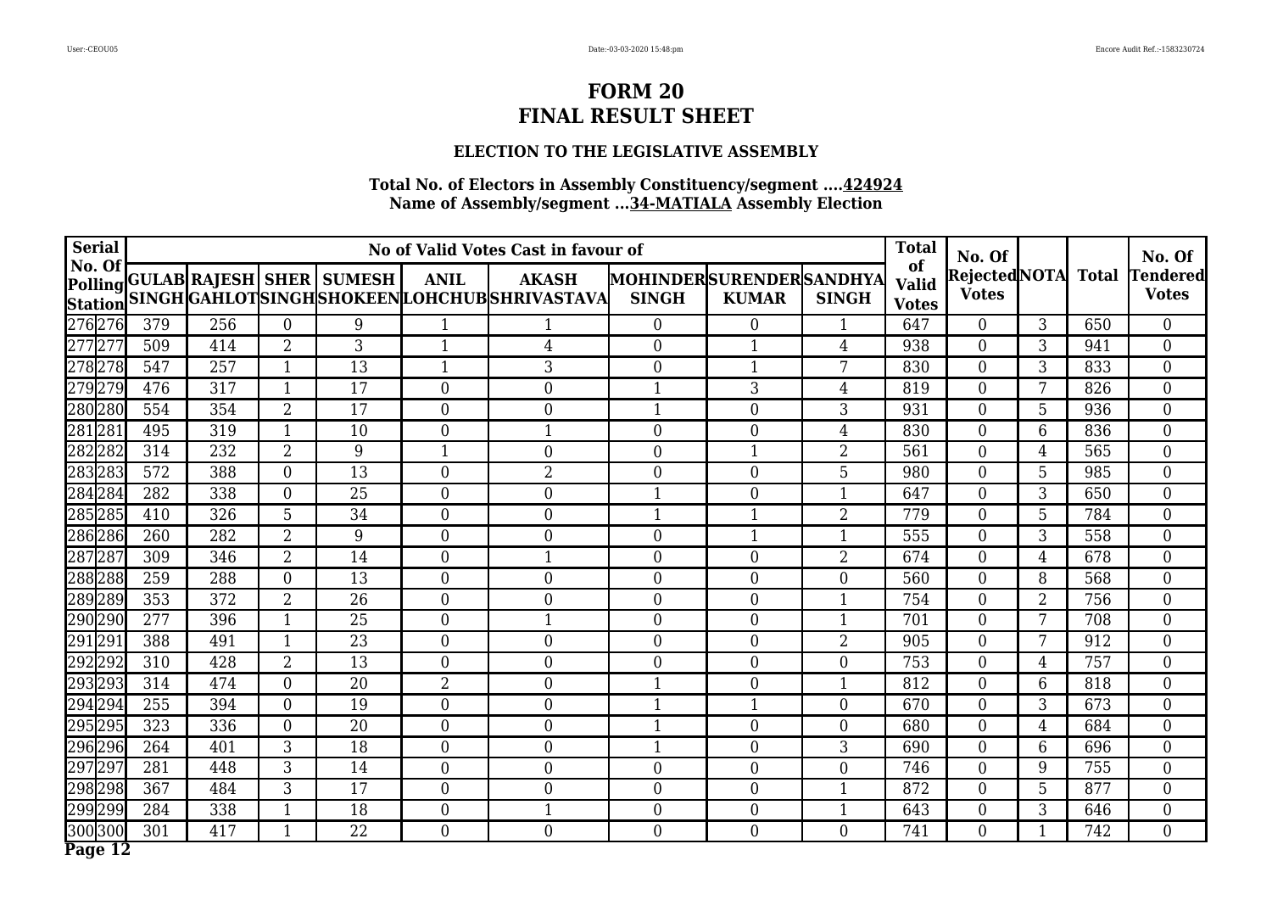### **ELECTION TO THE LEGISLATIVE ASSEMBLY**

| <b>Serial</b>            |                  |     |                  |                                  |                  | No of Valid Votes Cast in favour of                            |                                         |                  |                | <b>Total</b>                       | No. Of                       |                 |              | No. Of                          |
|--------------------------|------------------|-----|------------------|----------------------------------|------------------|----------------------------------------------------------------|-----------------------------------------|------------------|----------------|------------------------------------|------------------------------|-----------------|--------------|---------------------------------|
| No. Of<br><b>Station</b> |                  |     |                  | Polling GULAB RAJESH SHER SUMESH | <b>ANIL</b>      | <b>AKASH</b><br>SINGH GAHLOT SINGH SHOKEEN LOHCHUB SHRIVASTAVA | MOHINDERSURENDERSANDHYA<br><b>SINGH</b> | <b>KUMAR</b>     | <b>SINGH</b>   | of<br><b>Valid</b><br><b>Votes</b> | RejectedNOTA<br><b>Votes</b> |                 | <b>Total</b> | <b>Tendered</b><br><b>Votes</b> |
| 276276                   | 379              | 256 | $\mathbf{0}$     | 9                                | $\mathbf{1}$     |                                                                | $\overline{0}$                          | 0                | $\mathbf{1}$   | 647                                | $\overline{0}$               | 3               | 650          | $\overline{0}$                  |
| 277277                   | 509              | 414 | $\overline{2}$   | 3                                | $\mathbf{1}$     | $\overline{4}$                                                 | $\overline{0}$                          | $\mathbf{1}$     | $\overline{4}$ | 938                                | $\overline{0}$               | 3               | 941          | $\overline{0}$                  |
| 278278                   | 547              | 257 | $\mathbf{1}$     | 13                               | $\mathbf{1}$     | 3                                                              | $\overline{0}$                          | $\mathbf{1}$     | 7              | 830                                | $\boldsymbol{0}$             | 3               | 833          | $\boldsymbol{0}$                |
| 279279                   | 476              | 317 | $\mathbf{1}$     | 17                               | $\theta$         | $\mathbf{0}$                                                   | $\mathbf{1}$                            | 3                | $\overline{4}$ | 819                                | $\overline{0}$               | 7               | 826          | $\overline{0}$                  |
| 280280                   | 554              | 354 | $\overline{2}$   | 17                               | $\overline{0}$   | $\mathbf{0}$                                                   | $\mathbf 1$                             | $\boldsymbol{0}$ | 3              | 931                                | $\boldsymbol{0}$             | 5               | 936          | $\boldsymbol{0}$                |
| 281281                   | 495              | 319 | $\mathbf{1}$     | 10                               | $\overline{0}$   | $\mathbf{1}$                                                   | $\overline{0}$                          | $\overline{0}$   | $\overline{4}$ | 830                                | $\overline{0}$               | 6               | 836          | $\boldsymbol{0}$                |
| 282282                   | 314              | 232 | $\overline{2}$   | 9                                | $\mathbf{1}$     | $\mathbf{0}$                                                   | $\overline{0}$                          | 1                | $\overline{2}$ | 561                                | $\overline{0}$               | 4               | 565          | $\boldsymbol{0}$                |
| 283283                   | $\overline{572}$ | 388 | $\theta$         | $\overline{13}$                  | $\overline{0}$   | $\overline{2}$                                                 | $\theta$                                | $\overline{0}$   | 5              | 980                                | $\overline{0}$               | 5               | 985          | $\overline{0}$                  |
| 284284                   | 282              | 338 | $\theta$         | $\overline{25}$                  | $\theta$         | $\overline{0}$                                                 | 1                                       | $\overline{0}$   |                | 647                                | $\overline{0}$               | 3               | 650          | $\boldsymbol{0}$                |
| 285285                   | 410              | 326 | 5                | 34                               | $\overline{0}$   | $\overline{0}$                                                 | $\mathbf{1}$                            | 1                | $\overline{2}$ | 779                                | $\overline{0}$               | 5               | 784          | $\boldsymbol{0}$                |
| 286286                   | 260              | 282 | $\overline{2}$   | 9                                | $\Omega$         | $\mathbf{0}$                                                   | $\overline{0}$                          | 1                |                | 555                                | $\overline{0}$               | 3               | 558          | $\boldsymbol{0}$                |
| 287287                   | 309              | 346 | $\overline{2}$   | 14                               | $\theta$         | $\mathbf 1$                                                    | $\theta$                                | $\overline{0}$   | $\overline{2}$ | 674                                | $\overline{0}$               | $\overline{4}$  | 678          | $\overline{0}$                  |
| 288288                   | 259              | 288 | $\theta$         | 13                               | $\Omega$         | $\mathbf{0}$                                                   | $\overline{0}$                          | $\overline{0}$   | $\Omega$       | 560                                | $\overline{0}$               | 8               | 568          | $\boldsymbol{0}$                |
| 289289                   | 353              | 372 | $\overline{2}$   | 26                               | $\boldsymbol{0}$ | $\boldsymbol{0}$                                               | $\overline{0}$                          | $\boldsymbol{0}$ | $\mathbf 1$    | 754                                | $\boldsymbol{0}$             | $\overline{2}$  | 756          | $\boldsymbol{0}$                |
| 290290                   | 277              | 396 | $\mathbf{1}$     | 25                               | $\boldsymbol{0}$ | $\mathbf{1}$                                                   | $\boldsymbol{0}$                        | $\boldsymbol{0}$ | $\mathbf{1}$   | 701                                | $\boldsymbol{0}$             | 7               | 708          | $\boldsymbol{0}$                |
| 291 291                  | 388              | 491 | $\mathbf{1}$     | 23                               | $\overline{0}$   | $\mathbf{0}$                                                   | $\overline{0}$                          | $\boldsymbol{0}$ | $\overline{2}$ | 905                                | $\overline{0}$               | $7\overline{ }$ | 912          | $\boldsymbol{0}$                |
| 292292                   | 310              | 428 | $\overline{2}$   | 13                               | $\overline{0}$   | $\mathbf{0}$                                                   | $\overline{0}$                          | $\overline{0}$   | $\overline{0}$ | 753                                | $\overline{0}$               | $\overline{4}$  | 757          | $\overline{0}$                  |
| 293293                   | 314              | 474 | $\boldsymbol{0}$ | 20                               | $\overline{2}$   | $\mathbf{0}$                                                   | $\mathbf{1}$                            | $\boldsymbol{0}$ | $\mathbf{1}$   | 812                                | $\overline{0}$               | 6               | 818          | $\overline{0}$                  |
| 294294                   | 255              | 394 | $\mathbf{0}$     | 19                               | $\overline{0}$   | $\mathbf{0}$                                                   | 1                                       | 1                | $\theta$       | 670                                | $\overline{0}$               | 3               | 673          | $\overline{0}$                  |
| 295295                   | 323              | 336 | $\mathbf{0}$     | $\overline{20}$                  | $\overline{0}$   | $\mathbf{0}$                                                   | $\mathbf{1}$                            | $\overline{0}$   | $\overline{0}$ | 680                                | $\boldsymbol{0}$             | $\overline{4}$  | 684          | $\overline{0}$                  |
| 296296                   | 264              | 401 | 3                | 18                               | $\overline{0}$   | $\boldsymbol{0}$                                               | $\mathbf{1}$                            | $\overline{0}$   | 3              | 690                                | $\overline{0}$               | 6               | 696          | $\overline{0}$                  |
| 297297                   | 281              | 448 | $\overline{3}$   | 14                               | $\boldsymbol{0}$ | $\mathbf{0}$                                                   | $\overline{0}$                          | $\boldsymbol{0}$ | $\overline{0}$ | 746                                | $\overline{0}$               | 9               | 755          | $\boldsymbol{0}$                |
| 298298                   | 367              | 484 | 3                | 17                               | $\overline{0}$   | $\mathbf{0}$                                                   | $\overline{0}$                          | $\overline{0}$   | 1              | 872                                | $\overline{0}$               | $5\overline{)}$ | 877          | $\overline{0}$                  |
| 299299                   | 284              | 338 | $\mathbf{1}$     | 18                               | $\boldsymbol{0}$ | 1                                                              | $\overline{0}$                          | $\boldsymbol{0}$ |                | 643                                | $\boldsymbol{0}$             | 3               | 646          | $\overline{0}$                  |
| 300300                   | 301              | 417 | $\mathbf{1}$     | 22                               | $\boldsymbol{0}$ | $\boldsymbol{0}$                                               | $\overline{0}$                          | $\overline{0}$   | $\overline{0}$ | 741                                | $\overline{0}$               | $\mathbf{1}$    | 742          | $\overline{0}$                  |
| Page 12                  |                  |     |                  |                                  |                  |                                                                |                                         |                  |                |                                    |                              |                 |              |                                 |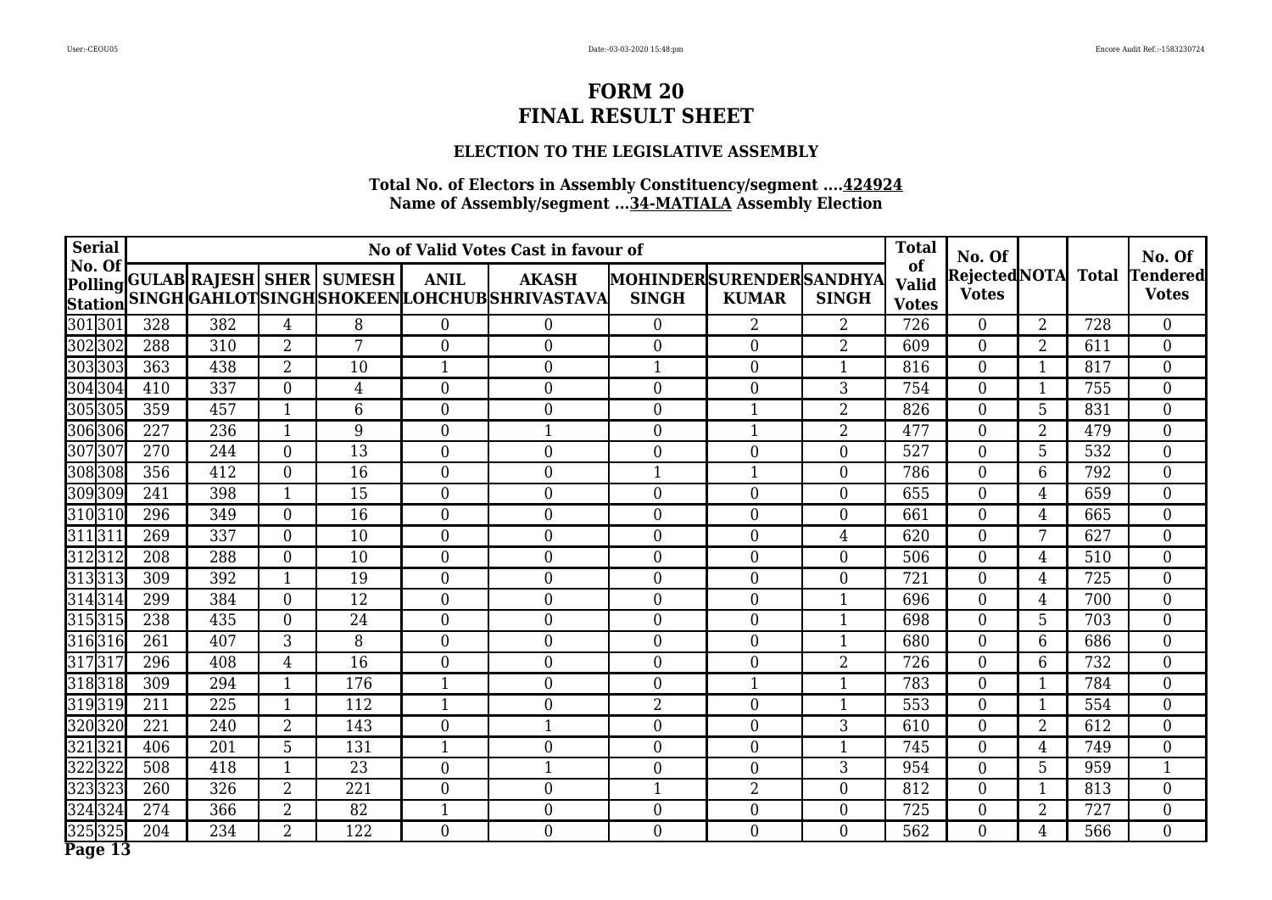## **ELECTION TO THE LEGISLATIVE ASSEMBLY**

| <b>Serial</b>            | No of Valid Votes Cast in favour of |     |                |                                  |                  |                                                                |                                                |                  |                  |                                    | <b>Total</b><br>No. Of        |                 |              | No. Of                          |
|--------------------------|-------------------------------------|-----|----------------|----------------------------------|------------------|----------------------------------------------------------------|------------------------------------------------|------------------|------------------|------------------------------------|-------------------------------|-----------------|--------------|---------------------------------|
| No. Of<br><b>Station</b> |                                     |     |                | Polling GULAB RAJESH SHER SUMESH | <b>ANIL</b>      | <b>AKASH</b><br>SINGH GAHLOT SINGH SHOKEEN LOHCHUB SHRIVASTAVA | <b>MOHINDERSURENDERSANDHYA</b><br><b>SINGH</b> | <b>KUMAR</b>     | <b>SINGH</b>     | of<br><b>Valid</b><br><b>Votes</b> | Rejected NOTA<br><b>Votes</b> |                 | <b>Total</b> | <b>Tendered</b><br><b>Votes</b> |
| 301301                   | 328                                 | 382 | $\overline{4}$ | 8                                | $\overline{0}$   | $\overline{0}$                                                 | $\overline{0}$                                 | 2                | $\overline{2}$   | 726                                | $\overline{0}$                | $\overline{2}$  | 728          | $\overline{0}$                  |
| 302302                   | 288                                 | 310 | $\overline{2}$ | 7                                | $\theta$         | $\mathbf{0}$                                                   | $\theta$                                       | $\overline{0}$   | 2                | 609                                | $\overline{0}$                | $\overline{2}$  | 611          | $\overline{0}$                  |
| 303303                   | 363                                 | 438 | $\overline{2}$ | 10                               | $\mathbf{1}$     | $\mathbf{0}$                                                   | $\mathbf{1}$                                   | $\overline{0}$   | $\mathbf{1}$     | 816                                | $\boldsymbol{0}$              |                 | 817          | $\overline{0}$                  |
| 304304                   | 410                                 | 337 | $\overline{0}$ | 4                                | $\theta$         | $\mathbf{0}$                                                   | $\theta$                                       | $\overline{0}$   | 3                | 754                                | $\overline{0}$                | 1               | 755          | $\overline{0}$                  |
| 305305                   | 359                                 | 457 | $\mathbf{1}$   | 6                                | $\theta$         | $\mathbf{0}$                                                   | $\overline{0}$                                 | $\mathbf{1}$     | $\overline{2}$   | 826                                | $\overline{0}$                | 5               | 831          | $\boldsymbol{0}$                |
| 306306                   | 227                                 | 236 | $\mathbf{1}$   | 9                                | $\overline{0}$   | $\mathbf{1}$                                                   | $\overline{0}$                                 | $\mathbf{1}$     | $\overline{2}$   | 477                                | $\overline{0}$                | $\overline{2}$  | 479          | $\boldsymbol{0}$                |
| 307307                   | 270                                 | 244 | $\overline{0}$ | 13                               | $\overline{0}$   | $\mathbf{0}$                                                   | $\boldsymbol{0}$                               | $\boldsymbol{0}$ | $\theta$         | 527                                | $\boldsymbol{0}$              | 5               | 532          | $\overline{0}$                  |
| 308308                   | 356                                 | 412 | $\overline{0}$ | 16                               | $\overline{0}$   | $\overline{0}$                                                 | $\mathbf{1}$                                   | $\mathbf{1}$     | $\theta$         | 786                                | $\overline{0}$                | 6               | 792          | $\boldsymbol{0}$                |
| 309309                   | 241                                 | 398 | $\mathbf 1$    | 15                               | $\theta$         | $\overline{0}$                                                 | $\overline{0}$                                 | $\overline{0}$   | $\theta$         | 655                                | $\overline{0}$                | 4               | 659          | $\boldsymbol{0}$                |
| 310310                   | 296                                 | 349 | $\overline{0}$ | $\overline{16}$                  | $\overline{0}$   | $\overline{0}$                                                 | $\overline{0}$                                 | $\overline{0}$   | $\overline{0}$   | 661                                | $\overline{0}$                | 4               | 665          | $\overline{0}$                  |
| 311311                   | 269                                 | 337 | $\mathbf{0}$   | 10                               | $\overline{0}$   | $\overline{0}$                                                 | $\overline{0}$                                 | $\overline{0}$   | 4                | 620                                | $\overline{0}$                | 7               | 627          | $\overline{0}$                  |
| 312312                   | 208                                 | 288 | $\theta$       | 10                               | $\theta$         | $\overline{0}$                                                 | $\theta$                                       | $\overline{0}$   | $\theta$         | 506                                | $\overline{0}$                | $\overline{4}$  | 510          | $\overline{0}$                  |
| 313313                   | 309                                 | 392 | $\mathbf{1}$   | 19                               | $\theta$         | $\mathbf{0}$                                                   | $\overline{0}$                                 | $\overline{0}$   | $\Omega$         | 721                                | $\overline{0}$                | $\overline{4}$  | 725          | $\boldsymbol{0}$                |
| 314314                   | 299                                 | 384 | $\overline{0}$ | 12                               | $\overline{0}$   | $\mathbf{0}$                                                   | $\overline{0}$                                 | $\boldsymbol{0}$ | $\mathbf{1}$     | 696                                | $\boldsymbol{0}$              | $\overline{4}$  | 700          | $\overline{0}$                  |
| 315315                   | 238                                 | 435 | $\mathbf{0}$   | 24                               | $\overline{0}$   | $\mathbf{0}$                                                   | $\overline{0}$                                 | $\overline{0}$   | $\mathbf{1}$     | 698                                | $\boldsymbol{0}$              | $5\overline{)}$ | 703          | $\overline{0}$                  |
| 316316                   | 261                                 | 407 | 3              | 8                                | $\overline{0}$   | $\mathbf{0}$                                                   | $\theta$                                       | $\overline{0}$   |                  | 680                                | $\overline{0}$                | 6               | 686          | $\overline{0}$                  |
| 317317                   | 296                                 | 408 | 4              | 16                               | $\overline{0}$   | $\mathbf{0}$                                                   | $\overline{0}$                                 | $\overline{0}$   | 2                | 726                                | $\overline{0}$                | 6               | 732          | $\overline{0}$                  |
| 318318                   | 309                                 | 294 | $\mathbf{1}$   | 176                              | $\mathbf{1}$     | $\mathbf{0}$                                                   | $\overline{0}$                                 | 1                | $\mathbf{1}$     | 783                                | $\boldsymbol{0}$              | 1               | 784          | $\overline{0}$                  |
| 319319                   | 211                                 | 225 | $\mathbf{1}$   | 112                              | $\mathbf{1}$     | $\boldsymbol{0}$                                               | 2                                              | $\overline{0}$   | 1                | 553                                | $\overline{0}$                | $\mathbf{1}$    | 554          | $\overline{0}$                  |
| 320320                   | 221                                 | 240 | $\overline{2}$ | 143                              | $\boldsymbol{0}$ | 1                                                              | $\overline{0}$                                 | $\overline{0}$   | 3                | 610                                | $\boldsymbol{0}$              | $\overline{2}$  | 612          | $\overline{0}$                  |
| 321321                   | 406                                 | 201 | 5              | 131                              | $\mathbf{1}$     | $\mathbf{0}$                                                   | $\overline{0}$                                 | $\boldsymbol{0}$ | 1                | 745                                | $\overline{0}$                | $\overline{4}$  | 749          | $\overline{0}$                  |
| 322322                   | 508                                 | 418 | $\mathbf{1}$   | 23                               | $\boldsymbol{0}$ | $\mathbf{1}$                                                   | 0                                              | $\boldsymbol{0}$ | 3                | 954                                | $\boldsymbol{0}$              | 5               | 959          | $\mathbf{1}$                    |
| 323323                   | 260                                 | 326 | $\overline{2}$ | 221                              | $\overline{0}$   | $\mathbf{0}$                                                   | $\mathbf{1}$                                   | $\overline{2}$   | $\overline{0}$   | 812                                | $\overline{0}$                | $\mathbf{1}$    | 813          | $\overline{0}$                  |
| 324324                   | 274                                 | 366 | $\overline{2}$ | 82                               | $\mathbf{1}$     | $\boldsymbol{0}$                                               | $\overline{0}$                                 | $\boldsymbol{0}$ | $\boldsymbol{0}$ | 725                                | $\boldsymbol{0}$              | $\overline{2}$  | 727          | $\overline{0}$                  |
| 325325                   | 204                                 | 234 | $\overline{2}$ | 122                              | $\boldsymbol{0}$ | $\overline{0}$                                                 | $\overline{0}$                                 | $\overline{0}$   | $\overline{0}$   | 562                                | $\overline{0}$                | $\overline{4}$  | 566          | $\overline{0}$                  |
| Page $13$                |                                     |     |                |                                  |                  |                                                                |                                                |                  |                  |                                    |                               |                 |              |                                 |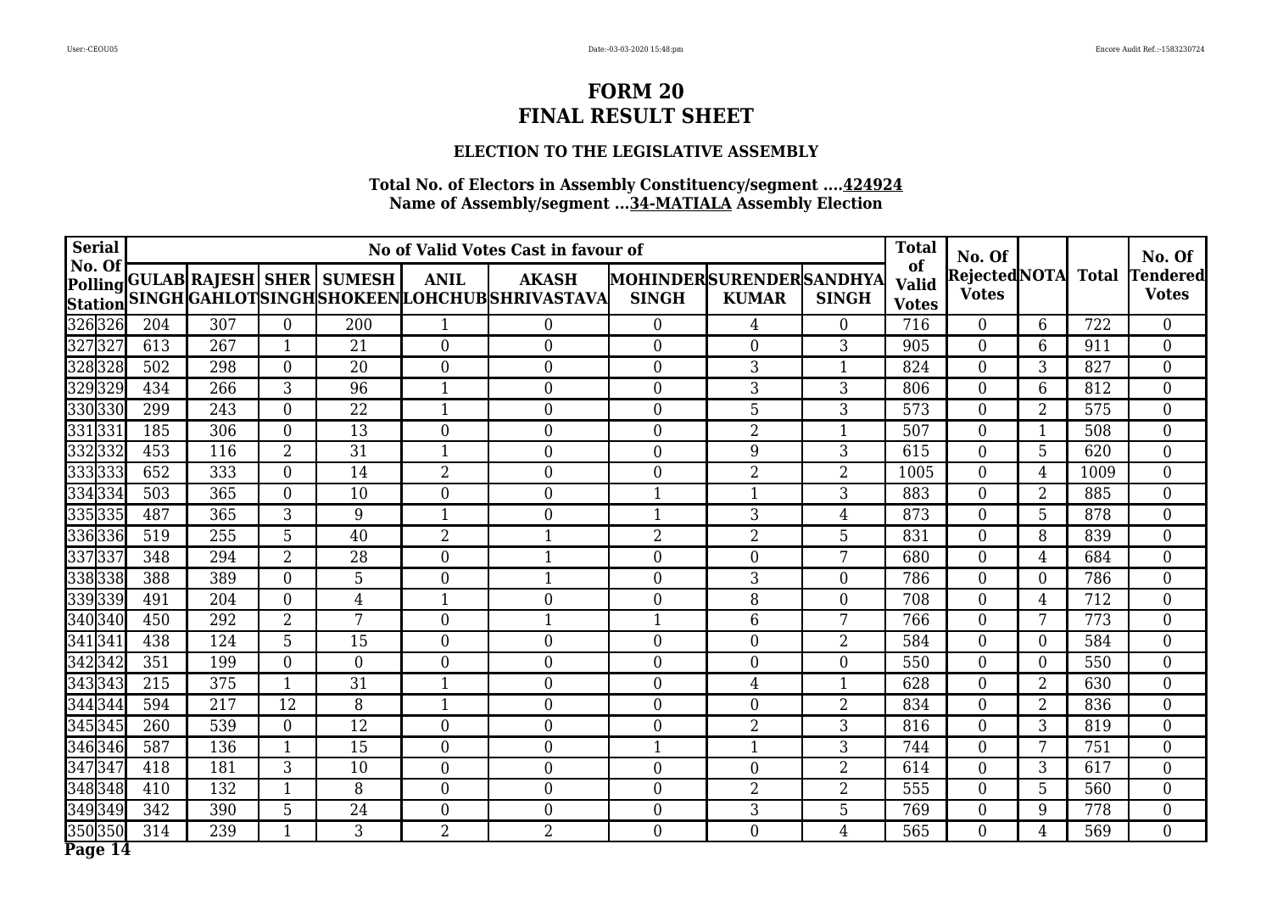#### **ELECTION TO THE LEGISLATIVE ASSEMBLY**

| <b>Serial</b>            | No of Valid Votes Cast in favour of |     |                |                                  |                  |                                                                |                                         |                  |                  |                                    | No. Of                        |                  |              | No. Of                          |
|--------------------------|-------------------------------------|-----|----------------|----------------------------------|------------------|----------------------------------------------------------------|-----------------------------------------|------------------|------------------|------------------------------------|-------------------------------|------------------|--------------|---------------------------------|
| No. Of<br><b>Station</b> |                                     |     |                | Polling GULAB RAJESH SHER SUMESH | <b>ANIL</b>      | <b>AKASH</b><br>SINGH GAHLOT SINGH SHOKEEN LOHCHUB SHRIVASTAVA | MOHINDERSURENDERSANDHYA<br><b>SINGH</b> | <b>KUMAR</b>     | <b>SINGH</b>     | of<br><b>Valid</b><br><b>Votes</b> | Rejected NOTA<br><b>Votes</b> |                  | <b>Total</b> | <b>Tendered</b><br><b>Votes</b> |
| 326326                   | 204                                 | 307 | $\mathbf{0}$   | 200                              | $\mathbf{1}$     | $\boldsymbol{0}$                                               | $\overline{0}$                          | 4                | $\overline{0}$   | 716                                | $\overline{0}$                | 6                | 722          | $\overline{0}$                  |
| 327327                   | 613                                 | 267 | $\mathbf{1}$   | 21                               | $\overline{0}$   | $\boldsymbol{0}$                                               | $\overline{0}$                          | $\overline{0}$   | 3                | 905                                | $\overline{0}$                | 6                | 911          | $\overline{0}$                  |
| 328328                   | 502                                 | 298 | $\overline{0}$ | 20                               | $\boldsymbol{0}$ | $\boldsymbol{0}$                                               | $\overline{0}$                          | 3                | $\mathbf{1}$     | 824                                | $\boldsymbol{0}$              | 3                | 827          | $\boldsymbol{0}$                |
| 329329                   | 434                                 | 266 | 3              | 96                               | $\mathbf{1}$     | $\mathbf{0}$                                                   | $\overline{0}$                          | 3                | 3                | 806                                | $\overline{0}$                | 6                | 812          | $\overline{0}$                  |
| 330330                   | 299                                 | 243 | $\overline{0}$ | 22                               | $\mathbf{1}$     | $\mathbf{0}$                                                   | $\overline{0}$                          | 5                | 3                | 573                                | $\boldsymbol{0}$              | $\overline{2}$   | 575          | $\boldsymbol{0}$                |
| 331331                   | 185                                 | 306 | $\overline{0}$ | $\overline{13}$                  | $\overline{0}$   | $\mathbf{0}$                                                   | $\overline{0}$                          | $\overline{2}$   | $\mathbf{1}$     | 507                                | $\overline{0}$                | 1                | 508          | $\boldsymbol{0}$                |
| 3323332                  | 453                                 | 116 | $\overline{2}$ | $\overline{31}$                  | 1                | $\mathbf{0}$                                                   | $\theta$                                | 9                | 3                | 615                                | $\mathbf{0}$                  | 5                | 620          | $\boldsymbol{0}$                |
| 333333                   | $\overline{652}$                    | 333 | $\theta$       | 14                               | $\overline{2}$   | $\theta$                                                       | $\theta$                                | $\overline{2}$   | $\overline{2}$   | 1005                               | $\overline{0}$                | $\overline{4}$   | 1009         | $\overline{0}$                  |
| 334334                   | 503                                 | 365 | $\theta$       | 10                               | $\theta$         | $\mathbf{0}$                                                   | 1                                       | 1                | 3                | 883                                | $\overline{0}$                | $\overline{2}$   | 885          | $\boldsymbol{0}$                |
| 335335                   | 487                                 | 365 | 3              | 9                                | $\mathbf{1}$     | $\overline{0}$                                                 | $\mathbf{1}$                            | 3                | 4                | 873                                | $\overline{0}$                | 5                | 878          | $\boldsymbol{0}$                |
| 336336                   | 519                                 | 255 | 5              | 40                               | $\overline{2}$   | $\mathbf{1}$                                                   | $\overline{2}$                          | $\overline{2}$   | 5                | 831                                | $\overline{0}$                | 8                | 839          | $\boldsymbol{0}$                |
| 337337                   | 348                                 | 294 | $\overline{2}$ | $\overline{28}$                  | $\theta$         | $\mathbf{1}$                                                   | $\theta$                                | $\overline{0}$   | 7                | 680                                | $\overline{0}$                | $\overline{4}$   | 684          | $\overline{0}$                  |
| 338338                   | 388                                 | 389 | $\theta$       | 5                                | $\Omega$         |                                                                | $\overline{0}$                          | 3                | $\Omega$         | 786                                | $\overline{0}$                | $\Omega$         | 786          | $\boldsymbol{0}$                |
| 339339                   | 491                                 | 204 | $\overline{0}$ | $\overline{4}$                   | $\mathbf{1}$     | $\boldsymbol{0}$                                               | $\boldsymbol{0}$                        | 8                | $\boldsymbol{0}$ | 708                                | $\boldsymbol{0}$              | $\overline{4}$   | 712          | $\boldsymbol{0}$                |
| 340340                   | 450                                 | 292 | $\overline{2}$ | 7                                | $\boldsymbol{0}$ | $\mathbf{1}$                                                   | $\mathbf{1}$                            | 6                | 7                | 766                                | $\boldsymbol{0}$              | 7                | 773          | $\boldsymbol{0}$                |
| 341341                   | 438                                 | 124 | 5              | 15                               | $\boldsymbol{0}$ | $\mathbf{0}$                                                   | $\overline{0}$                          | $\boldsymbol{0}$ | $\overline{2}$   | 584                                | $\overline{0}$                | $\boldsymbol{0}$ | 584          | $\boldsymbol{0}$                |
| 342342                   | 351                                 | 199 | $\overline{0}$ | $\overline{0}$                   | $\overline{0}$   | $\mathbf{0}$                                                   | $\overline{0}$                          | $\overline{0}$   | $\overline{0}$   | 550                                | $\overline{0}$                | $\overline{0}$   | 550          | $\overline{0}$                  |
| 343343                   | 215                                 | 375 | $\mathbf{1}$   | 31                               | $\mathbf{1}$     | $\mathbf{0}$                                                   | $\overline{0}$                          | $\overline{4}$   | 1                | 628                                | $\boldsymbol{0}$              | $\overline{2}$   | 630          | $\overline{0}$                  |
| 344344                   | 594                                 | 217 | 12             | 8                                | $\mathbf{1}$     | $\mathbf{0}$                                                   | $\overline{0}$                          | $\overline{0}$   | 2                | 834                                | $\overline{0}$                | $\overline{2}$   | 836          | $\overline{0}$                  |
| 345345                   | 260                                 | 539 | $\overline{0}$ | $\overline{12}$                  | $\overline{0}$   | $\mathbf{0}$                                                   | $\overline{0}$                          | $\overline{2}$   | 3                | 816                                | $\overline{0}$                | 3                | 819          | $\overline{0}$                  |
| 346346                   | 587                                 | 136 | 1              | 15                               | $\overline{0}$   | $\boldsymbol{0}$                                               | 1                                       | 1                | 3                | 744                                | $\overline{0}$                | 7                | 751          | $\overline{0}$                  |
| 347347                   | 418                                 | 181 | $\overline{3}$ | 10                               | $\boldsymbol{0}$ | $\mathbf{0}$                                                   | $\overline{0}$                          | $\boldsymbol{0}$ | 2                | 614                                | $\overline{0}$                | 3                | 617          | $\boldsymbol{0}$                |
| 348348                   | 410                                 | 132 | $\mathbf{1}$   | 8                                | $\overline{0}$   | $\mathbf{0}$                                                   | $\overline{0}$                          | 2                | 2                | 555                                | $\overline{0}$                | 5                | 560          | $\overline{0}$                  |
| 349349                   | 342                                 | 390 | 5              | 24                               | $\boldsymbol{0}$ | $\boldsymbol{0}$                                               | $\overline{0}$                          | 3                | 5                | 769                                | $\boldsymbol{0}$              | 9                | 778          | $\overline{0}$                  |
| 350350                   | 314                                 | 239 | $\mathbf{1}$   | 3                                | $\overline{2}$   | $\overline{2}$                                                 | $\overline{0}$                          | $\boldsymbol{0}$ | $\overline{4}$   | 565                                | $\overline{0}$                | $\overline{4}$   | 569          | $\overline{0}$                  |
| Page 14                  |                                     |     |                |                                  |                  |                                                                |                                         |                  |                  |                                    |                               |                  |              |                                 |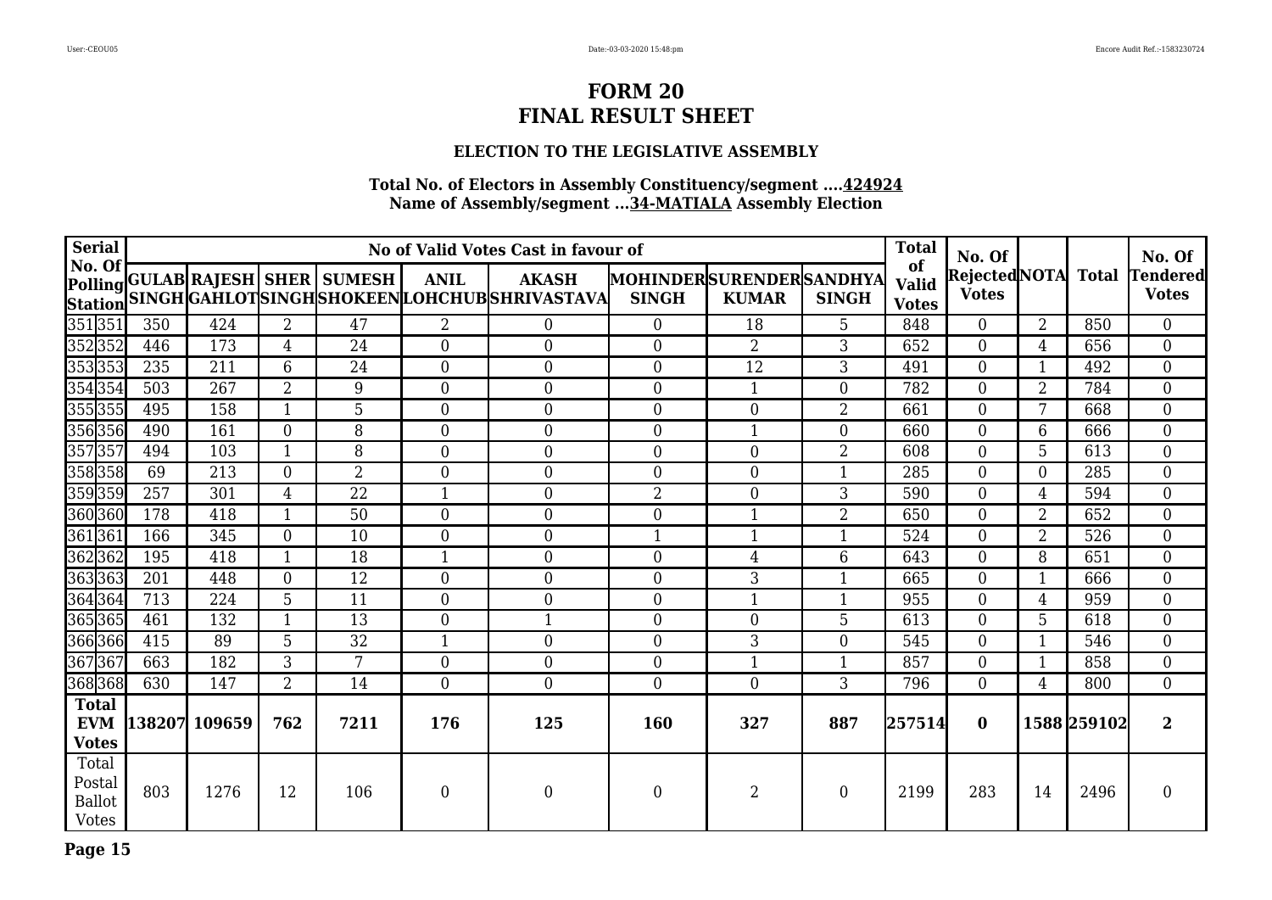## **ELECTION TO THE LEGISLATIVE ASSEMBLY**

| <b>Serial</b>                                    |               | No of Valid Votes Cast in favour of |                  |                                  |                  |                                                                       |                                         |                |                |                                    | No. Of                        |                  |              | No. Of                          |
|--------------------------------------------------|---------------|-------------------------------------|------------------|----------------------------------|------------------|-----------------------------------------------------------------------|-----------------------------------------|----------------|----------------|------------------------------------|-------------------------------|------------------|--------------|---------------------------------|
| $\vert$ No. Of $\vert$                           |               |                                     |                  | Polling GULAB RAJESH SHER SUMESH | <b>ANIL</b>      | <b>AKASH</b><br>Station SINGH GAHLOTSINGH SHOKEEN LOHCHUB SHRIVASTAVA | MOHINDERSURENDERSANDHYA<br><b>SINGH</b> | <b>KUMAR</b>   | <b>SINGH</b>   | of<br><b>Valid</b><br><b>Votes</b> | Rejected NOTA<br><b>Votes</b> |                  | <b>Total</b> | <b>Tendered</b><br><b>Votes</b> |
| 351 351                                          | 350           | 424                                 | $\overline{2}$   | 47                               | $\overline{2}$   | $\boldsymbol{0}$                                                      | $\theta$                                | 18             | 5              | 848                                | $\overline{0}$                | $\overline{2}$   | 850          | $\overline{0}$                  |
| 352352                                           | 446           | 173                                 | $\overline{4}$   | 24                               | $\overline{0}$   | $\mathbf{0}$                                                          | $\mathbf{0}$                            | $\overline{2}$ | 3              | 652                                | $\overline{0}$                | 4                | 656          | $\overline{0}$                  |
| 353 353                                          | 235           | 211                                 | 6                | 24                               | $\overline{0}$   | $\overline{0}$                                                        | $\mathbf{0}$                            | 12             | 3              | 491                                | $\boldsymbol{0}$              | 1                | 492          | $\boldsymbol{0}$                |
| 354 354                                          | 503           | 267                                 | $\overline{2}$   | 9                                | $\overline{0}$   | $\boldsymbol{0}$                                                      | $\boldsymbol{0}$                        | 1              | $\overline{0}$ | 782                                | $\overline{0}$                | 2                | 784          | $\overline{0}$                  |
| 355355                                           | 495           | 158                                 | $\mathbf{1}$     | 5                                | $\overline{0}$   | $\mathbf{0}$                                                          | $\boldsymbol{0}$                        | 0              | 2              | 661                                | $\overline{0}$                | 7                | 668          | $\boldsymbol{0}$                |
| 356356                                           | 490           | 161                                 | $\theta$         | 8                                | $\overline{0}$   | $\overline{0}$                                                        | $\theta$                                | $\mathbf{1}$   | $\theta$       | 660                                | $\overline{0}$                | 6                | 666          | $\boldsymbol{0}$                |
| 357357                                           | 494           | 103                                 |                  | 8                                | $\overline{0}$   | $\mathbf{0}$                                                          | $\mathbf{0}$                            | $\overline{0}$ | $\overline{2}$ | 608                                | $\boldsymbol{0}$              | 5                | 613          | $\overline{0}$                  |
| 358358                                           | 69            | 213                                 | $\boldsymbol{0}$ | $\overline{2}$                   | $\boldsymbol{0}$ | $\boldsymbol{0}$                                                      | $\boldsymbol{0}$                        | 0              |                | 285                                | $\boldsymbol{0}$              | $\boldsymbol{0}$ | 285          | $\boldsymbol{0}$                |
| 359359                                           | 257           | 301                                 | $\overline{4}$   | 22                               | $\mathbf{1}$     | $\overline{0}$                                                        | $\overline{2}$                          | 0              | 3              | 590                                | $\overline{0}$                | 4                | 594          | $\overline{0}$                  |
| 360 360                                          | 178           | 418                                 | 1                | 50                               | $\Omega$         | $\overline{0}$                                                        | $\Omega$                                | 1              | $\overline{2}$ | 650                                | $\overline{0}$                | $\overline{2}$   | 652          | $\overline{0}$                  |
| 361 361                                          | 166           | 345                                 | $\overline{0}$   | 10                               | $\overline{0}$   | $\overline{0}$                                                        | $\mathbf{1}$                            |                | $\mathbf{1}$   | 524                                | $\overline{0}$                | $\overline{2}$   | 526          | $\boldsymbol{0}$                |
| 362362                                           | 195           | 418                                 | 1                | 18                               | $\mathbf 1$      | $\mathbf{0}$                                                          | $\boldsymbol{0}$                        | 4              | 6              | 643                                | $\boldsymbol{0}$              | 8                | 651          | $\overline{0}$                  |
| 363363                                           | 201           | 448                                 | $\overline{0}$   | 12                               | $\overline{0}$   | $\mathbf{0}$                                                          | $\overline{0}$                          | 3              | 1              | 665                                | $\overline{0}$                | 1                | 666          | $\overline{0}$                  |
| 364 364                                          | 713           | 224                                 | 5                | 11                               | $\overline{0}$   | $\overline{0}$                                                        | $\mathbf{0}$                            | $\mathbf{1}$   | 1              | 955                                | $\overline{0}$                | $\overline{4}$   | 959          | $\overline{0}$                  |
| 365 365                                          | 461           | 132                                 |                  | 13                               | $\overline{0}$   | $\mathbf{1}$                                                          | $\mathbf{0}$                            | $\overline{0}$ | 5              | 613                                | $\overline{0}$                | 5                | 618          | $\overline{0}$                  |
| 366 366                                          | 415           | 89                                  | 5                | 32                               | $\mathbf{1}$     | $\mathbf{0}$                                                          | $\boldsymbol{0}$                        | 3              | $\overline{0}$ | 545                                | $\boldsymbol{0}$              | $\mathbf{1}$     | 546          | $\boldsymbol{0}$                |
| 367367                                           | 663           | 182                                 | 3                | 7                                | $\overline{0}$   | $\boldsymbol{0}$                                                      | $\overline{0}$                          | $\mathbf{1}$   | 1              | 857                                | $\overline{0}$                | 1                | 858          | $\boldsymbol{0}$                |
| 368 368                                          | 630           | 147                                 | $\overline{2}$   | 14                               | $\overline{0}$   | $\mathbf{0}$                                                          | $\overline{0}$                          | $\overline{0}$ | 3              | 796                                | $\overline{0}$                | 4                | 800          | $\overline{0}$                  |
| <b>Total</b><br><b>EVM</b><br><b>Votes</b>       | 138207 109659 |                                     | 762              | 7211                             | 176              | 125                                                                   | 160                                     | 327            | 887            | 257514                             | $\mathbf{0}$                  |                  | 1588 259102  | $\mathbf{2}$                    |
| Total<br>Postal<br><b>Ballot</b><br><b>Votes</b> | 803           | 1276                                | 12               | 106                              | $\boldsymbol{0}$ | $\boldsymbol{0}$                                                      | $\overline{0}$                          | 2              | $\theta$       | 2199                               | 283                           | 14               | 2496         | $\boldsymbol{0}$                |